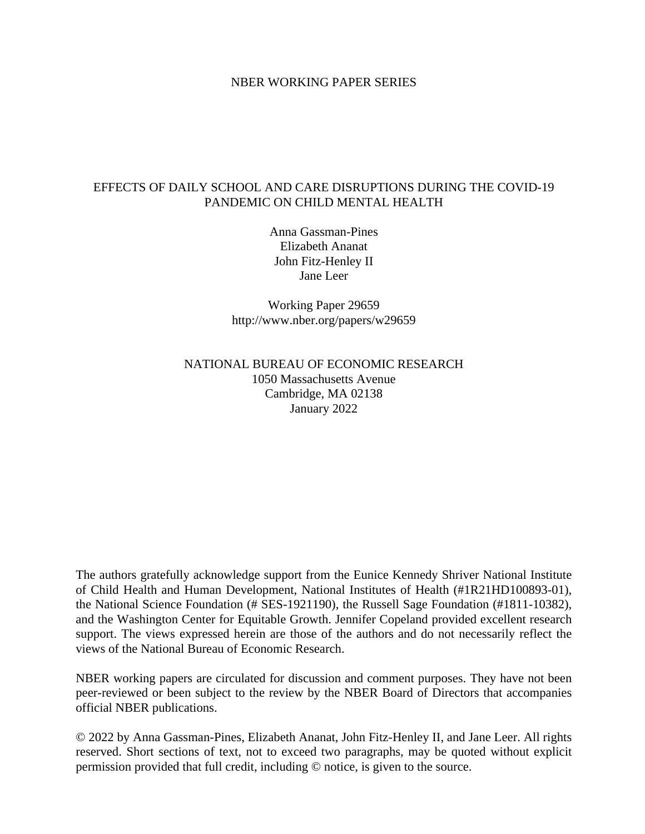# NBER WORKING PAPER SERIES

# EFFECTS OF DAILY SCHOOL AND CARE DISRUPTIONS DURING THE COVID-19 PANDEMIC ON CHILD MENTAL HEALTH

Anna Gassman-Pines Elizabeth Ananat John Fitz-Henley II Jane Leer

Working Paper 29659 http://www.nber.org/papers/w29659

# NATIONAL BUREAU OF ECONOMIC RESEARCH 1050 Massachusetts Avenue Cambridge, MA 02138 January 2022

The authors gratefully acknowledge support from the Eunice Kennedy Shriver National Institute of Child Health and Human Development, National Institutes of Health (#1R21HD100893-01), the National Science Foundation (# SES-1921190), the Russell Sage Foundation (#1811-10382), and the Washington Center for Equitable Growth. Jennifer Copeland provided excellent research support. The views expressed herein are those of the authors and do not necessarily reflect the views of the National Bureau of Economic Research.

NBER working papers are circulated for discussion and comment purposes. They have not been peer-reviewed or been subject to the review by the NBER Board of Directors that accompanies official NBER publications.

© 2022 by Anna Gassman-Pines, Elizabeth Ananat, John Fitz-Henley II, and Jane Leer. All rights reserved. Short sections of text, not to exceed two paragraphs, may be quoted without explicit permission provided that full credit, including © notice, is given to the source.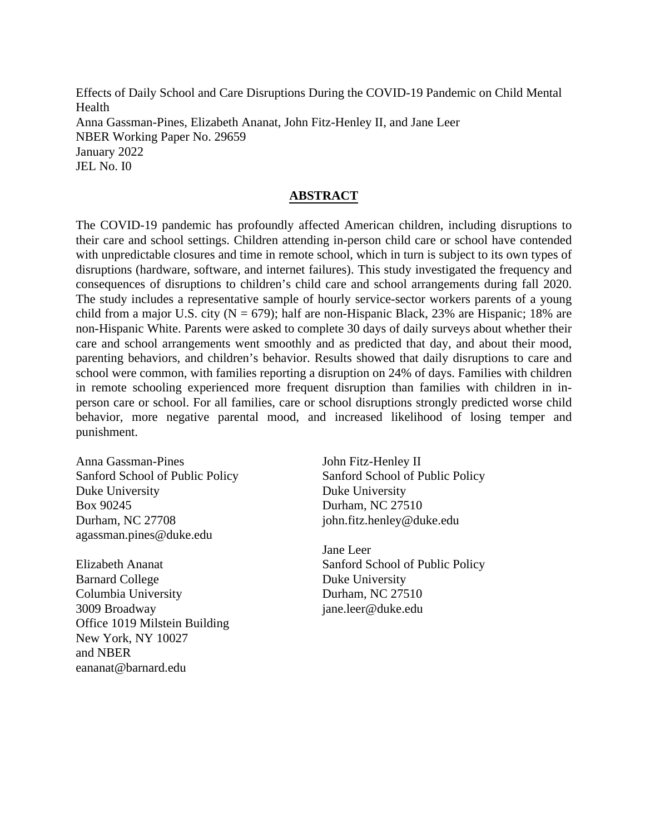Effects of Daily School and Care Disruptions During the COVID-19 Pandemic on Child Mental Health Anna Gassman-Pines, Elizabeth Ananat, John Fitz-Henley II, and Jane Leer NBER Working Paper No. 29659 January 2022 JEL No. I0

# **ABSTRACT**

The COVID-19 pandemic has profoundly affected American children, including disruptions to their care and school settings. Children attending in-person child care or school have contended with unpredictable closures and time in remote school, which in turn is subject to its own types of disruptions (hardware, software, and internet failures). This study investigated the frequency and consequences of disruptions to children's child care and school arrangements during fall 2020. The study includes a representative sample of hourly service-sector workers parents of a young child from a major U.S. city ( $N = 679$ ); half are non-Hispanic Black, 23% are Hispanic; 18% are non-Hispanic White. Parents were asked to complete 30 days of daily surveys about whether their care and school arrangements went smoothly and as predicted that day, and about their mood, parenting behaviors, and children's behavior. Results showed that daily disruptions to care and school were common, with families reporting a disruption on 24% of days. Families with children in remote schooling experienced more frequent disruption than families with children in inperson care or school. For all families, care or school disruptions strongly predicted worse child behavior, more negative parental mood, and increased likelihood of losing temper and punishment.

Anna Gassman-Pines Sanford School of Public Policy Duke University Box 90245 Durham, NC 27708 agassman.pines@duke.edu

Elizabeth Ananat Barnard College Columbia University 3009 Broadway Office 1019 Milstein Building New York, NY 10027 and NBER eananat@barnard.edu

John Fitz-Henley II Sanford School of Public Policy Duke University Durham, NC 27510 john.fitz.henley@duke.edu

Jane Leer Sanford School of Public Policy Duke University Durham, NC 27510 jane.leer@duke.edu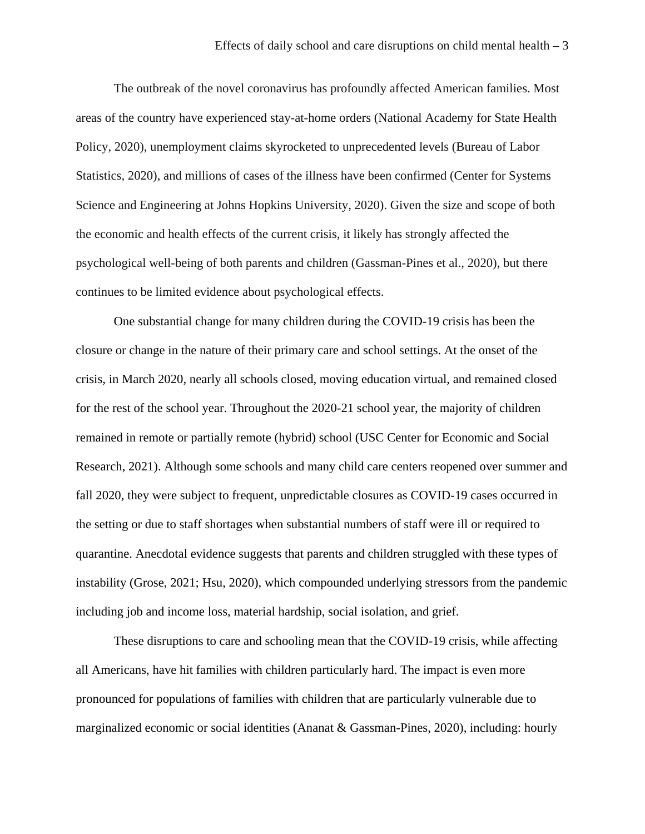The outbreak of the novel coronavirus has profoundly affected American families. Most areas of the country have experienced stay-at-home orders (National Academy for State Health Policy, 2020), unemployment claims skyrocketed to unprecedented levels (Bureau of Labor Statistics, 2020), and millions of cases of the illness have been confirmed (Center for Systems Science and Engineering at Johns Hopkins University, 2020). Given the size and scope of both the economic and health effects of the current crisis, it likely has strongly affected the psychological well-being of both parents and children (Gassman-Pines et al., 2020), but there continues to be limited evidence about psychological effects.

One substantial change for many children during the COVID-19 crisis has been the closure or change in the nature of their primary care and school settings. At the onset of the crisis, in March 2020, nearly all schools closed, moving education virtual, and remained closed for the rest of the school year. Throughout the 2020-21 school year, the majority of children remained in remote or partially remote (hybrid) school (USC Center for Economic and Social Research, 2021). Although some schools and many child care centers reopened over summer and fall 2020, they were subject to frequent, unpredictable closures as COVID-19 cases occurred in the setting or due to staff shortages when substantial numbers of staff were ill or required to quarantine. Anecdotal evidence suggests that parents and children struggled with these types of instability (Grose, 2021; Hsu, 2020), which compounded underlying stressors from the pandemic including job and income loss, material hardship, social isolation, and grief.

These disruptions to care and schooling mean that the COVID-19 crisis, while affecting all Americans, have hit families with children particularly hard. The impact is even more pronounced for populations of families with children that are particularly vulnerable due to marginalized economic or social identities (Ananat & Gassman-Pines, 2020), including: hourly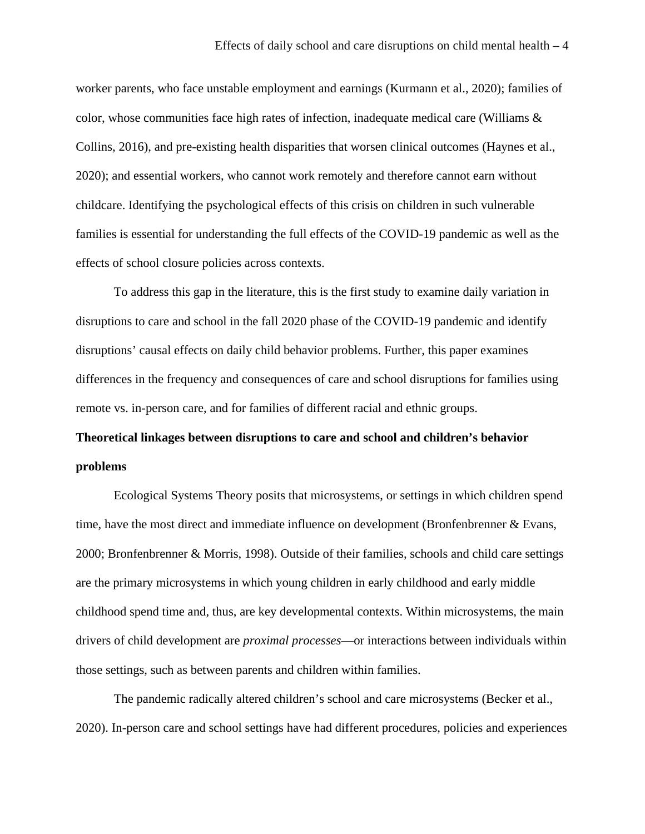worker parents, who face unstable employment and earnings (Kurmann et al., 2020); families of color, whose communities face high rates of infection, inadequate medical care (Williams & Collins, 2016), and pre-existing health disparities that worsen clinical outcomes (Haynes et al., 2020); and essential workers, who cannot work remotely and therefore cannot earn without childcare. Identifying the psychological effects of this crisis on children in such vulnerable families is essential for understanding the full effects of the COVID-19 pandemic as well as the effects of school closure policies across contexts.

To address this gap in the literature, this is the first study to examine daily variation in disruptions to care and school in the fall 2020 phase of the COVID-19 pandemic and identify disruptions' causal effects on daily child behavior problems. Further, this paper examines differences in the frequency and consequences of care and school disruptions for families using remote vs. in-person care, and for families of different racial and ethnic groups.

# **Theoretical linkages between disruptions to care and school and children's behavior problems**

Ecological Systems Theory posits that microsystems, or settings in which children spend time, have the most direct and immediate influence on development (Bronfenbrenner & Evans, 2000; Bronfenbrenner & Morris, 1998). Outside of their families, schools and child care settings are the primary microsystems in which young children in early childhood and early middle childhood spend time and, thus, are key developmental contexts. Within microsystems, the main drivers of child development are *proximal processes*—or interactions between individuals within those settings, such as between parents and children within families.

The pandemic radically altered children's school and care microsystems (Becker et al., 2020). In-person care and school settings have had different procedures, policies and experiences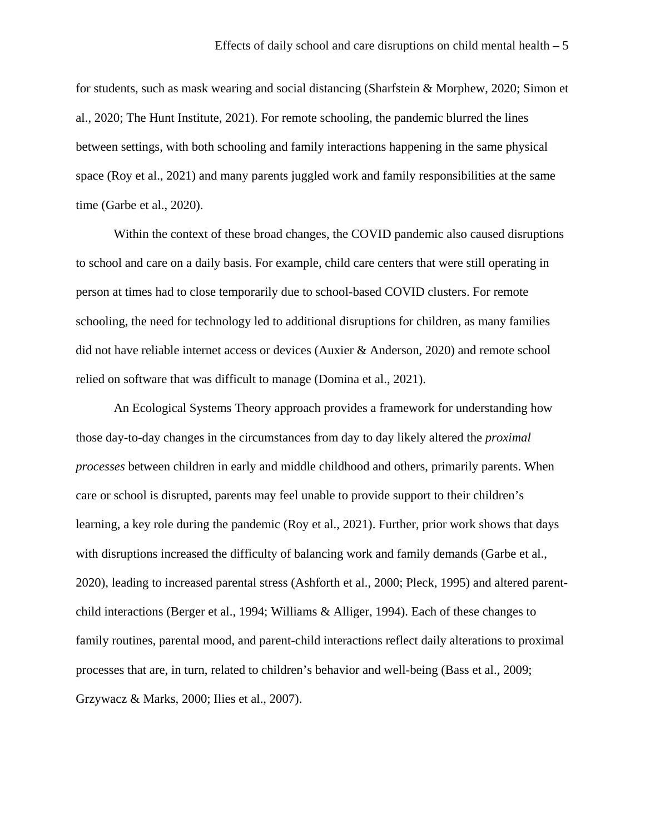for students, such as mask wearing and social distancing (Sharfstein & Morphew, 2020; Simon et al., 2020; The Hunt Institute, 2021). For remote schooling, the pandemic blurred the lines between settings, with both schooling and family interactions happening in the same physical space (Roy et al., 2021) and many parents juggled work and family responsibilities at the same time (Garbe et al., 2020).

Within the context of these broad changes, the COVID pandemic also caused disruptions to school and care on a daily basis. For example, child care centers that were still operating in person at times had to close temporarily due to school-based COVID clusters. For remote schooling, the need for technology led to additional disruptions for children, as many families did not have reliable internet access or devices (Auxier & Anderson, 2020) and remote school relied on software that was difficult to manage (Domina et al., 2021).

An Ecological Systems Theory approach provides a framework for understanding how those day-to-day changes in the circumstances from day to day likely altered the *proximal processes* between children in early and middle childhood and others, primarily parents. When care or school is disrupted, parents may feel unable to provide support to their children's learning, a key role during the pandemic (Roy et al., 2021). Further, prior work shows that days with disruptions increased the difficulty of balancing work and family demands (Garbe et al., 2020), leading to increased parental stress (Ashforth et al., 2000; Pleck, 1995) and altered parentchild interactions (Berger et al., 1994; Williams & Alliger, 1994). Each of these changes to family routines, parental mood, and parent-child interactions reflect daily alterations to proximal processes that are, in turn, related to children's behavior and well-being (Bass et al., 2009; Grzywacz & Marks, 2000; Ilies et al., 2007).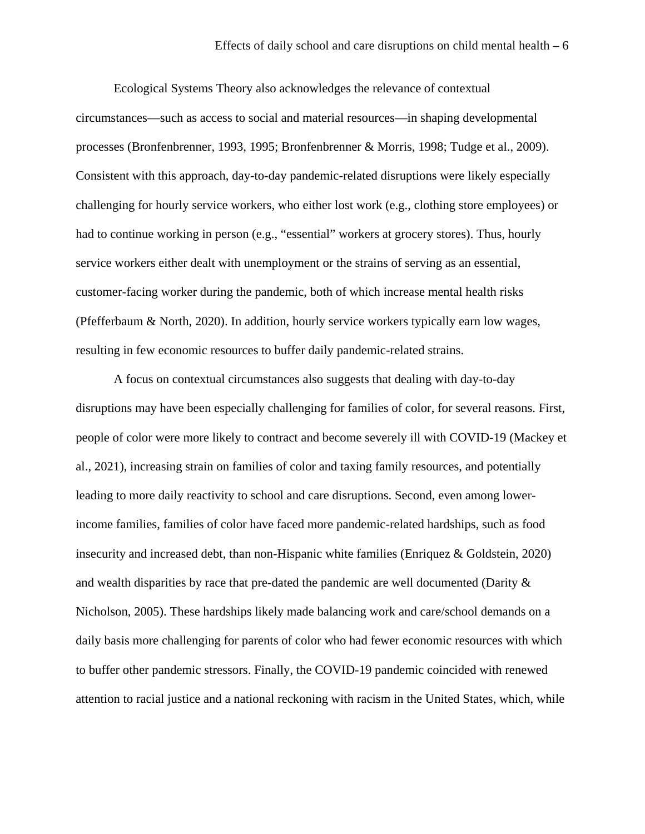Ecological Systems Theory also acknowledges the relevance of contextual circumstances—such as access to social and material resources—in shaping developmental processes (Bronfenbrenner, 1993, 1995; Bronfenbrenner & Morris, 1998; Tudge et al., 2009). Consistent with this approach, day-to-day pandemic-related disruptions were likely especially challenging for hourly service workers, who either lost work (e.g., clothing store employees) or had to continue working in person (e.g., "essential" workers at grocery stores). Thus, hourly service workers either dealt with unemployment or the strains of serving as an essential, customer-facing worker during the pandemic, both of which increase mental health risks (Pfefferbaum & North, 2020). In addition, hourly service workers typically earn low wages, resulting in few economic resources to buffer daily pandemic-related strains.

A focus on contextual circumstances also suggests that dealing with day-to-day disruptions may have been especially challenging for families of color, for several reasons. First, people of color were more likely to contract and become severely ill with COVID-19 (Mackey et al., 2021), increasing strain on families of color and taxing family resources, and potentially leading to more daily reactivity to school and care disruptions. Second, even among lowerincome families, families of color have faced more pandemic-related hardships, such as food insecurity and increased debt, than non-Hispanic white families (Enriquez & Goldstein, 2020) and wealth disparities by race that pre-dated the pandemic are well documented (Darity & Nicholson, 2005). These hardships likely made balancing work and care/school demands on a daily basis more challenging for parents of color who had fewer economic resources with which to buffer other pandemic stressors. Finally, the COVID-19 pandemic coincided with renewed attention to racial justice and a national reckoning with racism in the United States, which, while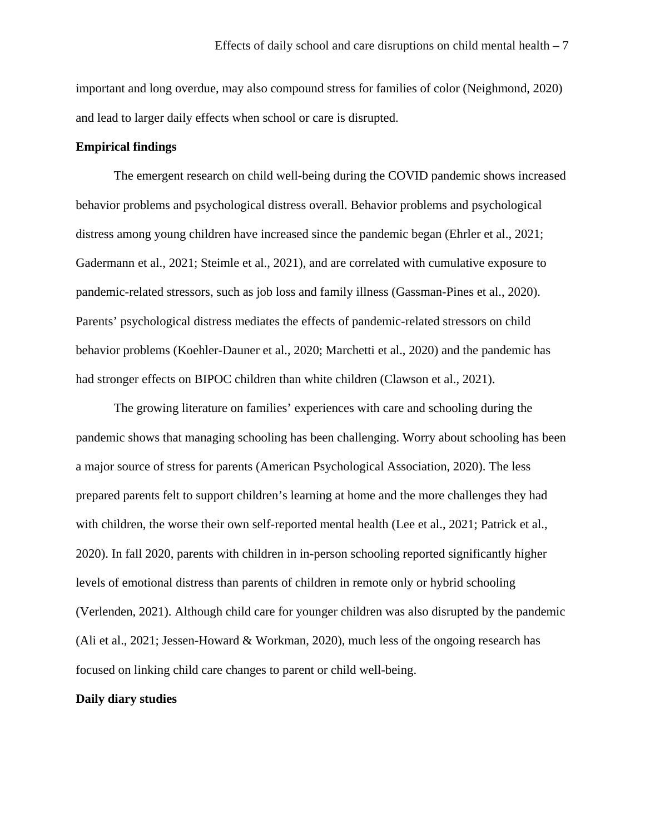important and long overdue, may also compound stress for families of color (Neighmond, 2020) and lead to larger daily effects when school or care is disrupted.

# **Empirical findings**

The emergent research on child well-being during the COVID pandemic shows increased behavior problems and psychological distress overall. Behavior problems and psychological distress among young children have increased since the pandemic began (Ehrler et al., 2021; Gadermann et al., 2021; Steimle et al., 2021), and are correlated with cumulative exposure to pandemic-related stressors, such as job loss and family illness (Gassman-Pines et al., 2020). Parents' psychological distress mediates the effects of pandemic-related stressors on child behavior problems (Koehler-Dauner et al., 2020; Marchetti et al., 2020) and the pandemic has had stronger effects on BIPOC children than white children (Clawson et al., 2021).

The growing literature on families' experiences with care and schooling during the pandemic shows that managing schooling has been challenging. Worry about schooling has been a major source of stress for parents (American Psychological Association, 2020). The less prepared parents felt to support children's learning at home and the more challenges they had with children, the worse their own self-reported mental health (Lee et al., 2021; Patrick et al., 2020). In fall 2020, parents with children in in-person schooling reported significantly higher levels of emotional distress than parents of children in remote only or hybrid schooling (Verlenden, 2021). Although child care for younger children was also disrupted by the pandemic (Ali et al., 2021; Jessen-Howard & Workman, 2020), much less of the ongoing research has focused on linking child care changes to parent or child well-being.

#### **Daily diary studies**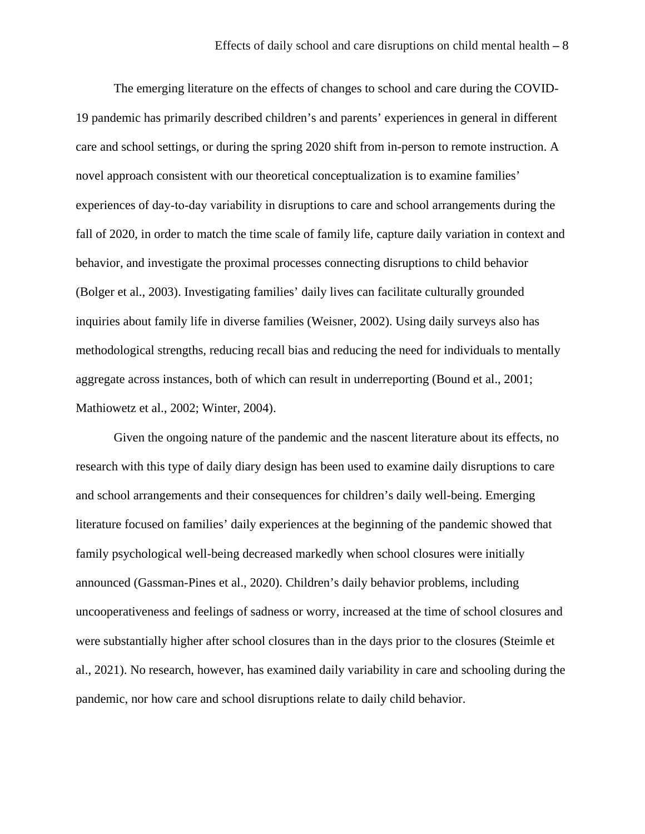The emerging literature on the effects of changes to school and care during the COVID-19 pandemic has primarily described children's and parents' experiences in general in different care and school settings, or during the spring 2020 shift from in-person to remote instruction. A novel approach consistent with our theoretical conceptualization is to examine families' experiences of day-to-day variability in disruptions to care and school arrangements during the fall of 2020, in order to match the time scale of family life, capture daily variation in context and behavior, and investigate the proximal processes connecting disruptions to child behavior (Bolger et al., 2003). Investigating families' daily lives can facilitate culturally grounded inquiries about family life in diverse families (Weisner, 2002). Using daily surveys also has methodological strengths, reducing recall bias and reducing the need for individuals to mentally aggregate across instances, both of which can result in underreporting (Bound et al., 2001; Mathiowetz et al., 2002; Winter, 2004).

Given the ongoing nature of the pandemic and the nascent literature about its effects, no research with this type of daily diary design has been used to examine daily disruptions to care and school arrangements and their consequences for children's daily well-being. Emerging literature focused on families' daily experiences at the beginning of the pandemic showed that family psychological well-being decreased markedly when school closures were initially announced (Gassman-Pines et al., 2020). Children's daily behavior problems, including uncooperativeness and feelings of sadness or worry, increased at the time of school closures and were substantially higher after school closures than in the days prior to the closures (Steimle et al., 2021). No research, however, has examined daily variability in care and schooling during the pandemic, nor how care and school disruptions relate to daily child behavior.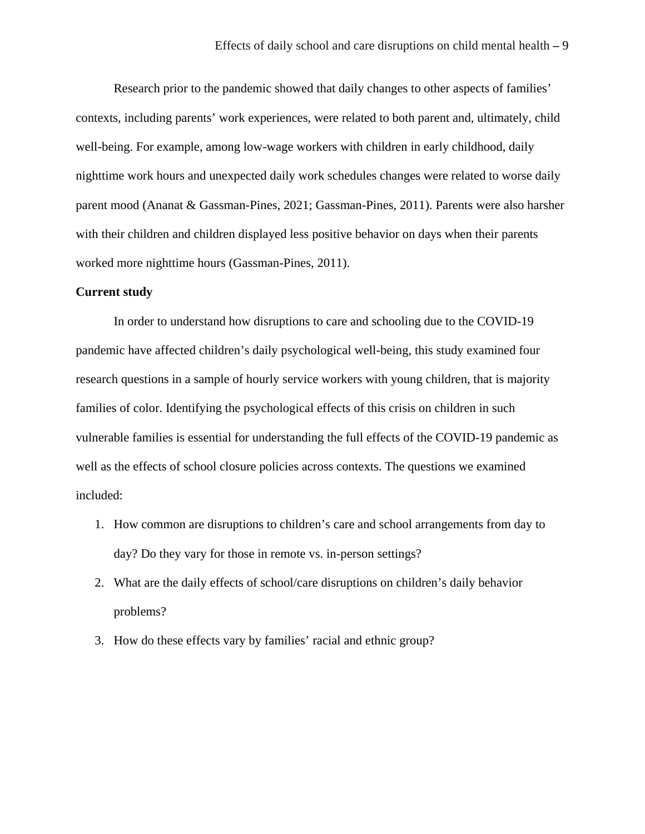Research prior to the pandemic showed that daily changes to other aspects of families' contexts, including parents' work experiences, were related to both parent and, ultimately, child well-being. For example, among low-wage workers with children in early childhood, daily nighttime work hours and unexpected daily work schedules changes were related to worse daily parent mood (Ananat & Gassman-Pines, 2021; Gassman-Pines, 2011). Parents were also harsher with their children and children displayed less positive behavior on days when their parents worked more nighttime hours (Gassman-Pines, 2011).

#### **Current study**

In order to understand how disruptions to care and schooling due to the COVID-19 pandemic have affected children's daily psychological well-being, this study examined four research questions in a sample of hourly service workers with young children, that is majority families of color. Identifying the psychological effects of this crisis on children in such vulnerable families is essential for understanding the full effects of the COVID-19 pandemic as well as the effects of school closure policies across contexts. The questions we examined included:

- 1. How common are disruptions to children's care and school arrangements from day to day? Do they vary for those in remote vs. in-person settings?
- 2. What are the daily effects of school/care disruptions on children's daily behavior problems?
- 3. How do these effects vary by families' racial and ethnic group?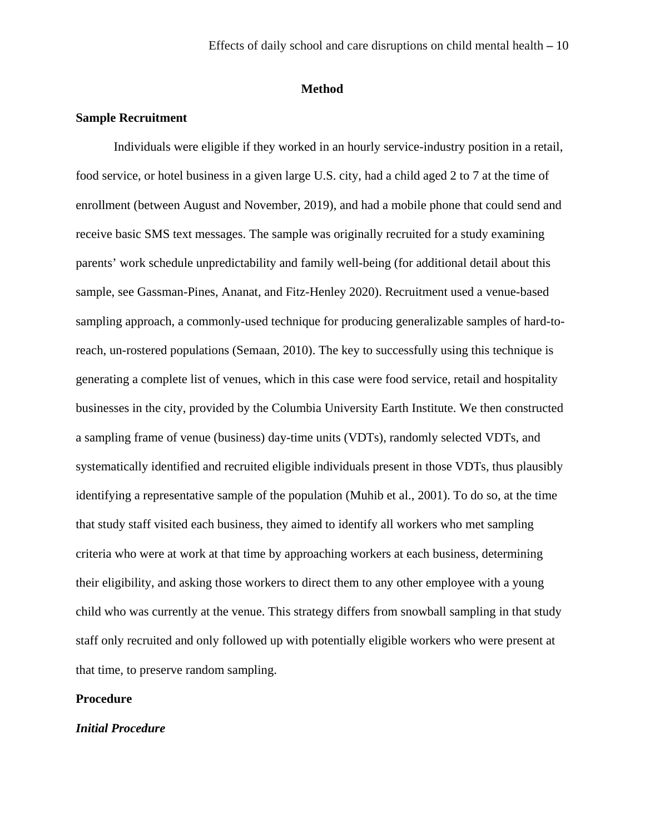# **Method**

# **Sample Recruitment**

Individuals were eligible if they worked in an hourly service-industry position in a retail, food service, or hotel business in a given large U.S. city, had a child aged 2 to 7 at the time of enrollment (between August and November, 2019), and had a mobile phone that could send and receive basic SMS text messages. The sample was originally recruited for a study examining parents' work schedule unpredictability and family well-being (for additional detail about this sample, see Gassman-Pines, Ananat, and Fitz-Henley 2020). Recruitment used a venue-based sampling approach, a commonly-used technique for producing generalizable samples of hard-toreach, un-rostered populations (Semaan, 2010). The key to successfully using this technique is generating a complete list of venues, which in this case were food service, retail and hospitality businesses in the city, provided by the Columbia University Earth Institute. We then constructed a sampling frame of venue (business) day-time units (VDTs), randomly selected VDTs, and systematically identified and recruited eligible individuals present in those VDTs, thus plausibly identifying a representative sample of the population (Muhib et al., 2001). To do so, at the time that study staff visited each business, they aimed to identify all workers who met sampling criteria who were at work at that time by approaching workers at each business, determining their eligibility, and asking those workers to direct them to any other employee with a young child who was currently at the venue. This strategy differs from snowball sampling in that study staff only recruited and only followed up with potentially eligible workers who were present at that time, to preserve random sampling.

## **Procedure**

#### *Initial Procedure*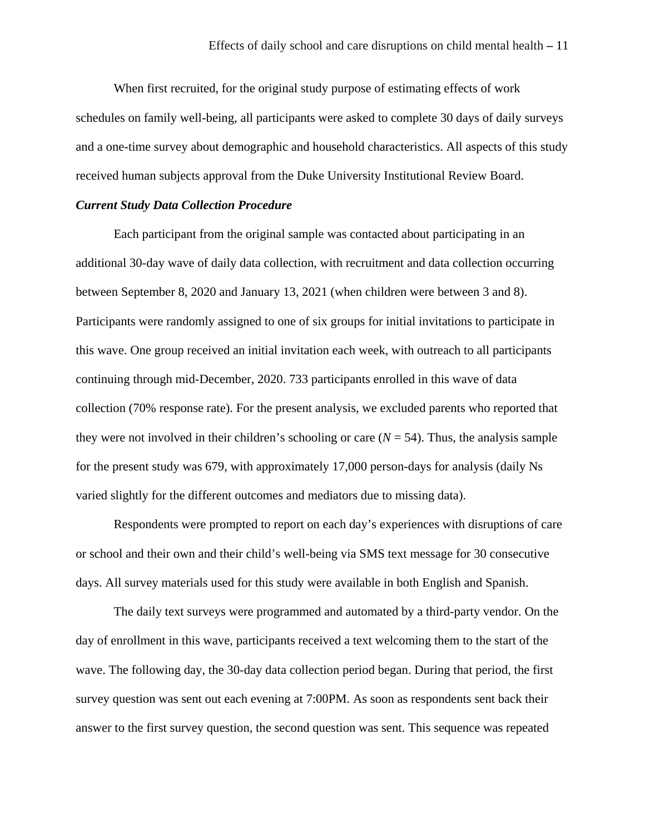When first recruited, for the original study purpose of estimating effects of work schedules on family well-being, all participants were asked to complete 30 days of daily surveys and a one-time survey about demographic and household characteristics. All aspects of this study received human subjects approval from the Duke University Institutional Review Board.

# *Current Study Data Collection Procedure*

Each participant from the original sample was contacted about participating in an additional 30-day wave of daily data collection, with recruitment and data collection occurring between September 8, 2020 and January 13, 2021 (when children were between 3 and 8). Participants were randomly assigned to one of six groups for initial invitations to participate in this wave. One group received an initial invitation each week, with outreach to all participants continuing through mid-December, 2020. 733 participants enrolled in this wave of data collection (70% response rate). For the present analysis, we excluded parents who reported that they were not involved in their children's schooling or care  $(N = 54)$ . Thus, the analysis sample for the present study was 679, with approximately 17,000 person-days for analysis (daily Ns varied slightly for the different outcomes and mediators due to missing data).

Respondents were prompted to report on each day's experiences with disruptions of care or school and their own and their child's well-being via SMS text message for 30 consecutive days. All survey materials used for this study were available in both English and Spanish.

The daily text surveys were programmed and automated by a third-party vendor. On the day of enrollment in this wave, participants received a text welcoming them to the start of the wave. The following day, the 30-day data collection period began. During that period, the first survey question was sent out each evening at 7:00PM. As soon as respondents sent back their answer to the first survey question, the second question was sent. This sequence was repeated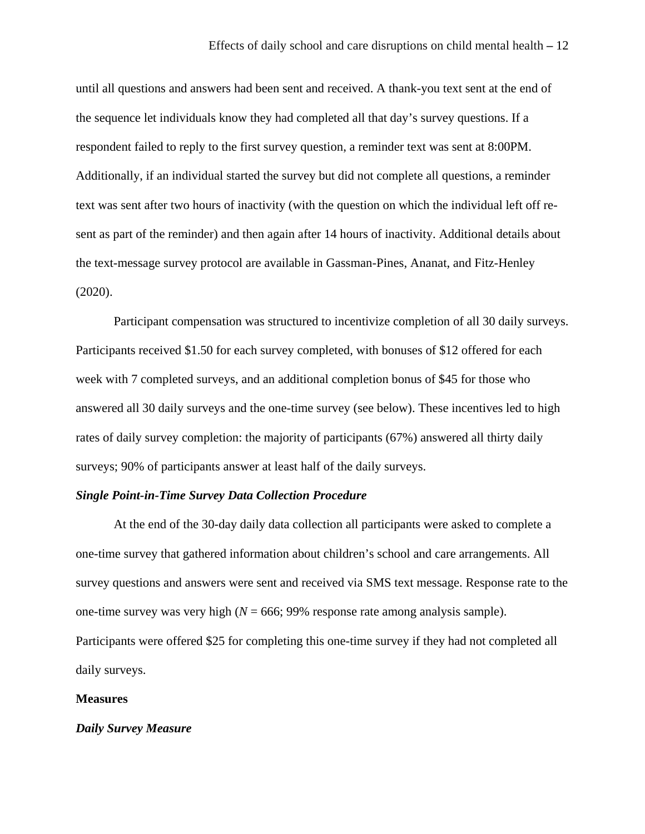until all questions and answers had been sent and received. A thank-you text sent at the end of the sequence let individuals know they had completed all that day's survey questions. If a respondent failed to reply to the first survey question, a reminder text was sent at 8:00PM. Additionally, if an individual started the survey but did not complete all questions, a reminder text was sent after two hours of inactivity (with the question on which the individual left off resent as part of the reminder) and then again after 14 hours of inactivity. Additional details about the text-message survey protocol are available in Gassman-Pines, Ananat, and Fitz-Henley (2020).

Participant compensation was structured to incentivize completion of all 30 daily surveys. Participants received \$1.50 for each survey completed, with bonuses of \$12 offered for each week with 7 completed surveys, and an additional completion bonus of \$45 for those who answered all 30 daily surveys and the one-time survey (see below). These incentives led to high rates of daily survey completion: the majority of participants (67%) answered all thirty daily surveys; 90% of participants answer at least half of the daily surveys.

# *Single Point-in-Time Survey Data Collection Procedure*

At the end of the 30-day daily data collection all participants were asked to complete a one-time survey that gathered information about children's school and care arrangements. All survey questions and answers were sent and received via SMS text message. Response rate to the one-time survey was very high  $(N = 666; 99\%$  response rate among analysis sample). Participants were offered \$25 for completing this one-time survey if they had not completed all daily surveys.

#### **Measures**

#### *Daily Survey Measure*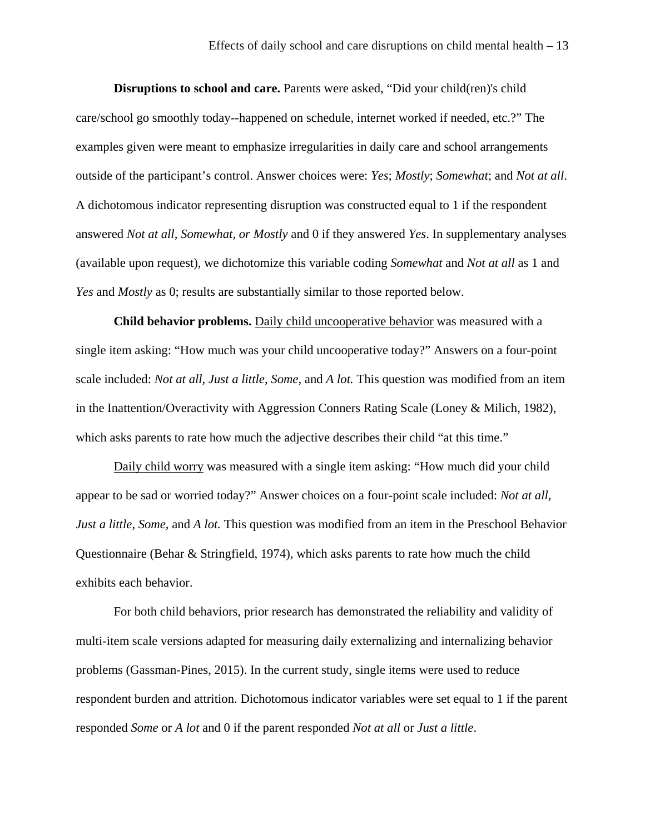**Disruptions to school and care.** Parents were asked, "Did your child(ren)'s child care/school go smoothly today--happened on schedule, internet worked if needed, etc.?" The examples given were meant to emphasize irregularities in daily care and school arrangements outside of the participant's control. Answer choices were: *Yes*; *Mostly*; *Somewhat*; and *Not at all*. A dichotomous indicator representing disruption was constructed equal to 1 if the respondent answered *Not at all, Somewhat, or Mostly* and 0 if they answered *Yes*. In supplementary analyses (available upon request), we dichotomize this variable coding *Somewhat* and *Not at all* as 1 and *Yes* and *Mostly* as 0; results are substantially similar to those reported below.

**Child behavior problems.** Daily child uncooperative behavior was measured with a single item asking: "How much was your child uncooperative today?" Answers on a four-point scale included: *Not at all, Just a little*, *Some,* and *A lot.* This question was modified from an item in the Inattention/Overactivity with Aggression Conners Rating Scale (Loney & Milich, 1982), which asks parents to rate how much the adjective describes their child "at this time."

Daily child worry was measured with a single item asking: "How much did your child appear to be sad or worried today?" Answer choices on a four-point scale included: *Not at all, Just a little*, *Some,* and *A lot.* This question was modified from an item in the Preschool Behavior Questionnaire (Behar & Stringfield, 1974), which asks parents to rate how much the child exhibits each behavior.

For both child behaviors, prior research has demonstrated the reliability and validity of multi-item scale versions adapted for measuring daily externalizing and internalizing behavior problems (Gassman-Pines, 2015). In the current study, single items were used to reduce respondent burden and attrition. Dichotomous indicator variables were set equal to 1 if the parent responded *Some* or *A lot* and 0 if the parent responded *Not at all* or *Just a little*.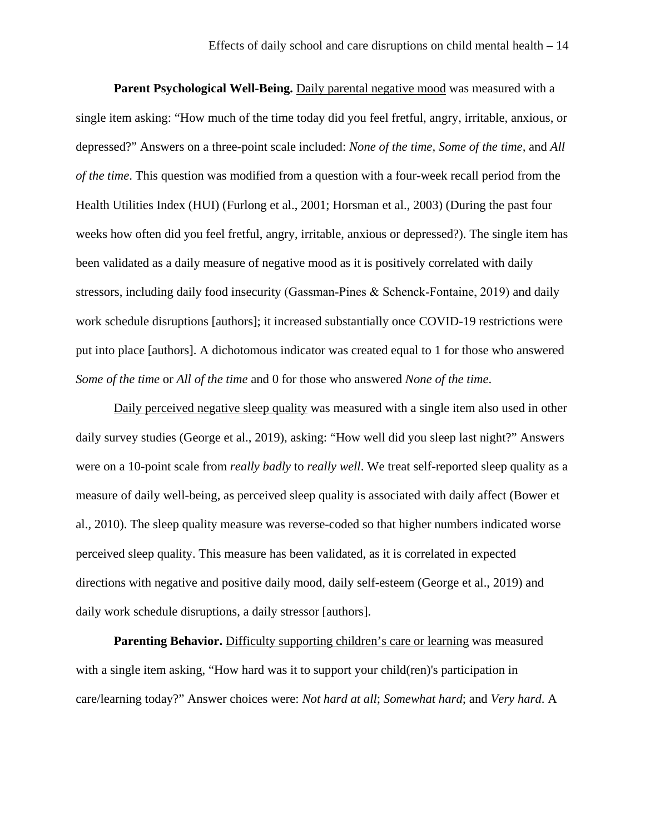**Parent Psychological Well-Being.** Daily parental negative mood was measured with a single item asking: "How much of the time today did you feel fretful, angry, irritable, anxious, or depressed?" Answers on a three-point scale included: *None of the time, Some of the time,* and *All of the time*. This question was modified from a question with a four-week recall period from the Health Utilities Index (HUI) (Furlong et al., 2001; Horsman et al., 2003) (During the past four weeks how often did you feel fretful, angry, irritable, anxious or depressed?). The single item has been validated as a daily measure of negative mood as it is positively correlated with daily stressors, including daily food insecurity (Gassman‐Pines & Schenck‐Fontaine, 2019) and daily work schedule disruptions [authors]; it increased substantially once COVID-19 restrictions were put into place [authors]. A dichotomous indicator was created equal to 1 for those who answered *Some of the time* or *All of the time* and 0 for those who answered *None of the time*.

Daily perceived negative sleep quality was measured with a single item also used in other daily survey studies (George et al., 2019), asking: "How well did you sleep last night?" Answers were on a 10-point scale from *really badly* to *really well*. We treat self-reported sleep quality as a measure of daily well-being, as perceived sleep quality is associated with daily affect (Bower et al., 2010). The sleep quality measure was reverse-coded so that higher numbers indicated worse perceived sleep quality. This measure has been validated, as it is correlated in expected directions with negative and positive daily mood, daily self-esteem (George et al., 2019) and daily work schedule disruptions, a daily stressor [authors].

**Parenting Behavior.** Difficulty supporting children's care or learning was measured with a single item asking, "How hard was it to support your child(ren)'s participation in care/learning today?" Answer choices were: *Not hard at all*; *Somewhat hard*; and *Very hard*. A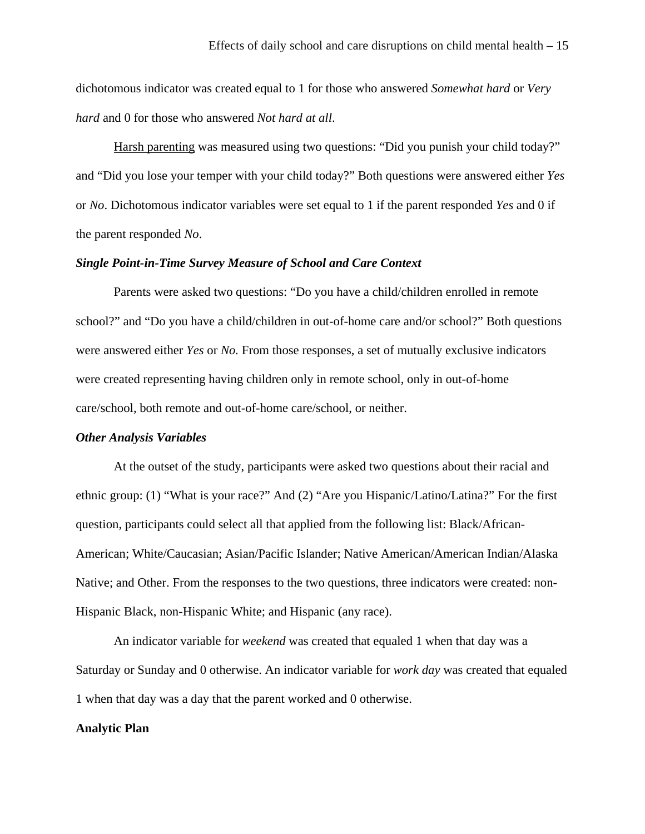dichotomous indicator was created equal to 1 for those who answered *Somewhat hard* or *Very hard* and 0 for those who answered *Not hard at all*.

Harsh parenting was measured using two questions: "Did you punish your child today?" and "Did you lose your temper with your child today?" Both questions were answered either *Yes* or *No*. Dichotomous indicator variables were set equal to 1 if the parent responded *Yes* and 0 if the parent responded *No*.

#### *Single Point-in-Time Survey Measure of School and Care Context*

Parents were asked two questions: "Do you have a child/children enrolled in remote school?" and "Do you have a child/children in out-of-home care and/or school?" Both questions were answered either *Yes* or *No.* From those responses, a set of mutually exclusive indicators were created representing having children only in remote school, only in out-of-home care/school, both remote and out-of-home care/school, or neither.

#### *Other Analysis Variables*

At the outset of the study, participants were asked two questions about their racial and ethnic group: (1) "What is your race?" And (2) "Are you Hispanic/Latino/Latina?" For the first question, participants could select all that applied from the following list: Black/African-American; White/Caucasian; Asian/Pacific Islander; Native American/American Indian/Alaska Native; and Other. From the responses to the two questions, three indicators were created: non-Hispanic Black, non-Hispanic White; and Hispanic (any race).

An indicator variable for *weekend* was created that equaled 1 when that day was a Saturday or Sunday and 0 otherwise. An indicator variable for *work day* was created that equaled 1 when that day was a day that the parent worked and 0 otherwise.

#### **Analytic Plan**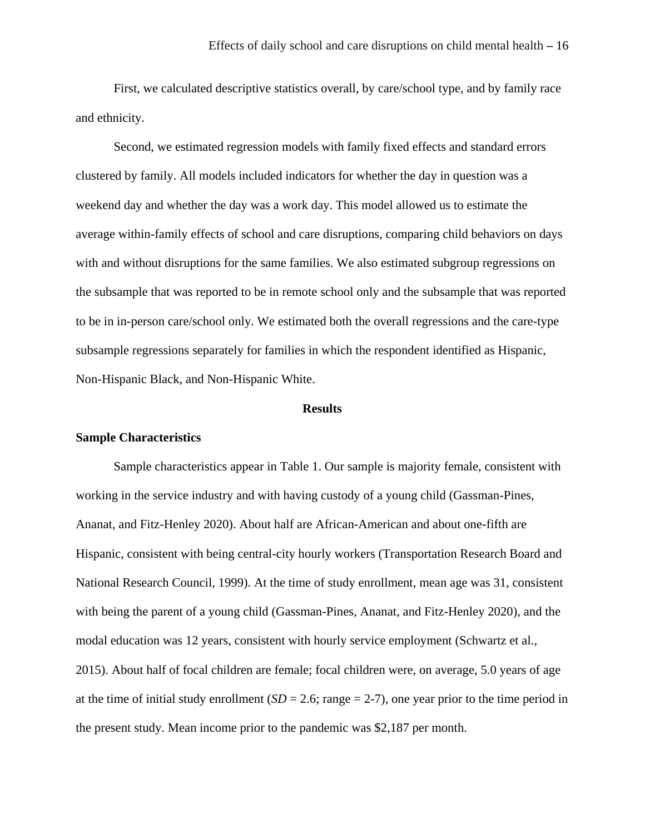First, we calculated descriptive statistics overall, by care/school type, and by family race and ethnicity.

Second, we estimated regression models with family fixed effects and standard errors clustered by family. All models included indicators for whether the day in question was a weekend day and whether the day was a work day. This model allowed us to estimate the average within-family effects of school and care disruptions, comparing child behaviors on days with and without disruptions for the same families. We also estimated subgroup regressions on the subsample that was reported to be in remote school only and the subsample that was reported to be in in-person care/school only. We estimated both the overall regressions and the care-type subsample regressions separately for families in which the respondent identified as Hispanic, Non-Hispanic Black, and Non-Hispanic White.

## **Results**

#### **Sample Characteristics**

Sample characteristics appear in Table 1. Our sample is majority female, consistent with working in the service industry and with having custody of a young child (Gassman-Pines, Ananat, and Fitz-Henley 2020). About half are African-American and about one-fifth are Hispanic, consistent with being central-city hourly workers (Transportation Research Board and National Research Council, 1999). At the time of study enrollment, mean age was 31, consistent with being the parent of a young child (Gassman-Pines, Ananat, and Fitz-Henley 2020), and the modal education was 12 years, consistent with hourly service employment (Schwartz et al., 2015). About half of focal children are female; focal children were, on average, 5.0 years of age at the time of initial study enrollment  $(SD = 2.6; \text{range} = 2-7)$ , one year prior to the time period in the present study. Mean income prior to the pandemic was \$2,187 per month.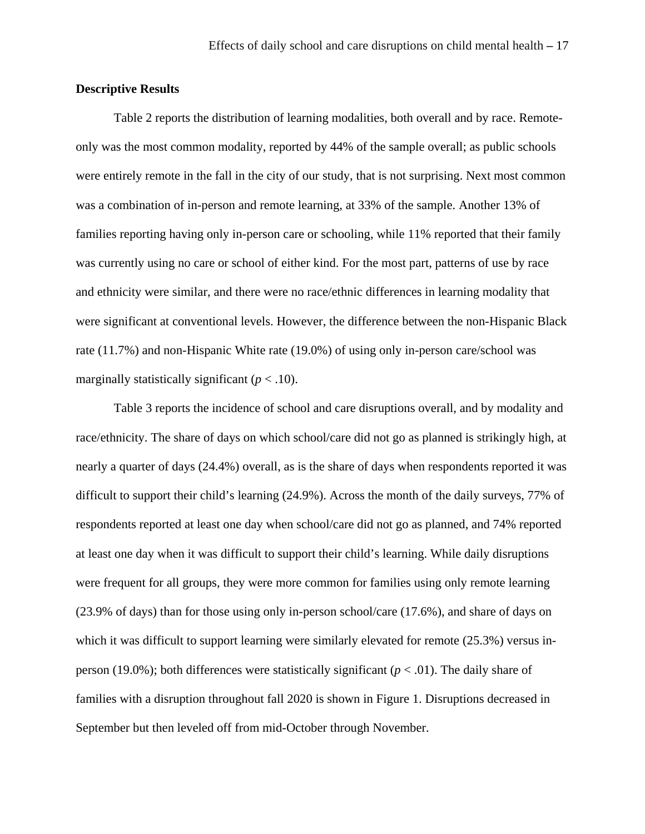# **Descriptive Results**

Table 2 reports the distribution of learning modalities, both overall and by race. Remoteonly was the most common modality, reported by 44% of the sample overall; as public schools were entirely remote in the fall in the city of our study, that is not surprising. Next most common was a combination of in-person and remote learning, at 33% of the sample. Another 13% of families reporting having only in-person care or schooling, while 11% reported that their family was currently using no care or school of either kind. For the most part, patterns of use by race and ethnicity were similar, and there were no race/ethnic differences in learning modality that were significant at conventional levels. However, the difference between the non-Hispanic Black rate (11.7%) and non-Hispanic White rate (19.0%) of using only in-person care/school was marginally statistically significant  $(p < .10)$ .

Table 3 reports the incidence of school and care disruptions overall, and by modality and race/ethnicity. The share of days on which school/care did not go as planned is strikingly high, at nearly a quarter of days (24.4%) overall, as is the share of days when respondents reported it was difficult to support their child's learning (24.9%). Across the month of the daily surveys, 77% of respondents reported at least one day when school/care did not go as planned, and 74% reported at least one day when it was difficult to support their child's learning. While daily disruptions were frequent for all groups, they were more common for families using only remote learning (23.9% of days) than for those using only in-person school/care (17.6%), and share of days on which it was difficult to support learning were similarly elevated for remote  $(25.3%)$  versus inperson (19.0%); both differences were statistically significant ( $p < .01$ ). The daily share of families with a disruption throughout fall 2020 is shown in Figure 1. Disruptions decreased in September but then leveled off from mid-October through November.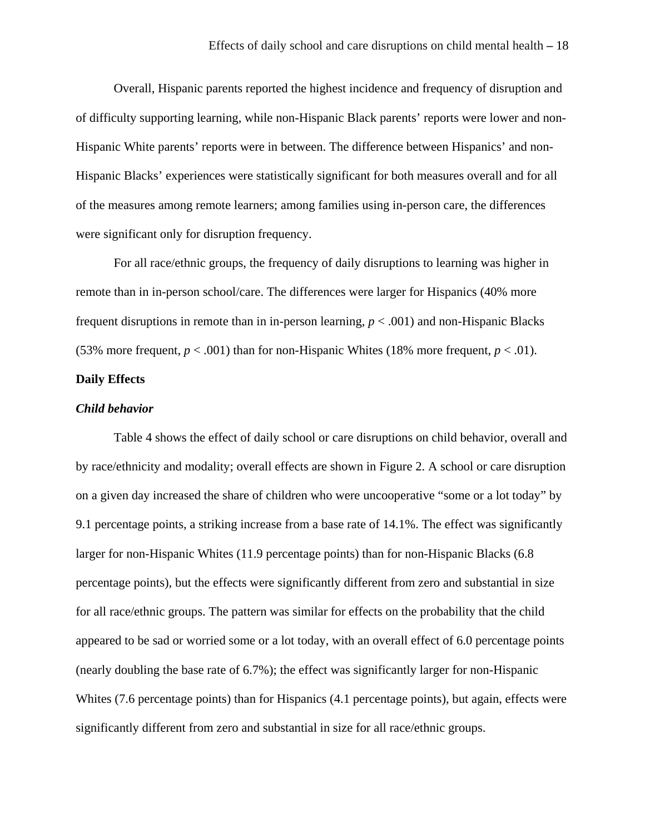Overall, Hispanic parents reported the highest incidence and frequency of disruption and of difficulty supporting learning, while non-Hispanic Black parents' reports were lower and non-Hispanic White parents' reports were in between. The difference between Hispanics' and non-Hispanic Blacks' experiences were statistically significant for both measures overall and for all of the measures among remote learners; among families using in-person care, the differences were significant only for disruption frequency.

For all race/ethnic groups, the frequency of daily disruptions to learning was higher in remote than in in-person school/care. The differences were larger for Hispanics (40% more frequent disruptions in remote than in in-person learning, *p* < .001) and non-Hispanic Blacks (53% more frequent,  $p < .001$ ) than for non-Hispanic Whites (18% more frequent,  $p < .01$ ).

# **Daily Effects**

#### *Child behavior*

Table 4 shows the effect of daily school or care disruptions on child behavior, overall and by race/ethnicity and modality; overall effects are shown in Figure 2. A school or care disruption on a given day increased the share of children who were uncooperative "some or a lot today" by 9.1 percentage points, a striking increase from a base rate of 14.1%. The effect was significantly larger for non-Hispanic Whites (11.9 percentage points) than for non-Hispanic Blacks (6.8 percentage points), but the effects were significantly different from zero and substantial in size for all race/ethnic groups. The pattern was similar for effects on the probability that the child appeared to be sad or worried some or a lot today, with an overall effect of 6.0 percentage points (nearly doubling the base rate of 6.7%); the effect was significantly larger for non-Hispanic Whites (7.6 percentage points) than for Hispanics (4.1 percentage points), but again, effects were significantly different from zero and substantial in size for all race/ethnic groups.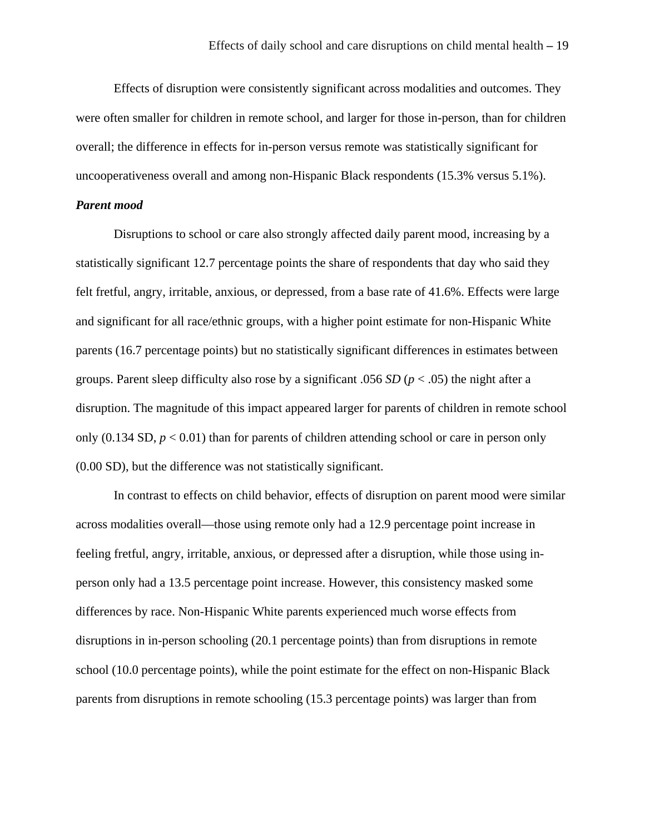Effects of disruption were consistently significant across modalities and outcomes. They were often smaller for children in remote school, and larger for those in-person, than for children overall; the difference in effects for in-person versus remote was statistically significant for uncooperativeness overall and among non-Hispanic Black respondents (15.3% versus 5.1%).

## *Parent mood*

 Disruptions to school or care also strongly affected daily parent mood, increasing by a statistically significant 12.7 percentage points the share of respondents that day who said they felt fretful, angry, irritable, anxious, or depressed, from a base rate of 41.6%. Effects were large and significant for all race/ethnic groups, with a higher point estimate for non-Hispanic White parents (16.7 percentage points) but no statistically significant differences in estimates between groups. Parent sleep difficulty also rose by a significant .056 *SD* (*p* < .05) the night after a disruption. The magnitude of this impact appeared larger for parents of children in remote school only  $(0.134 \text{ SD}, p < 0.01)$  than for parents of children attending school or care in person only (0.00 SD), but the difference was not statistically significant.

 In contrast to effects on child behavior, effects of disruption on parent mood were similar across modalities overall—those using remote only had a 12.9 percentage point increase in feeling fretful, angry, irritable, anxious, or depressed after a disruption, while those using inperson only had a 13.5 percentage point increase. However, this consistency masked some differences by race. Non-Hispanic White parents experienced much worse effects from disruptions in in-person schooling (20.1 percentage points) than from disruptions in remote school (10.0 percentage points), while the point estimate for the effect on non-Hispanic Black parents from disruptions in remote schooling (15.3 percentage points) was larger than from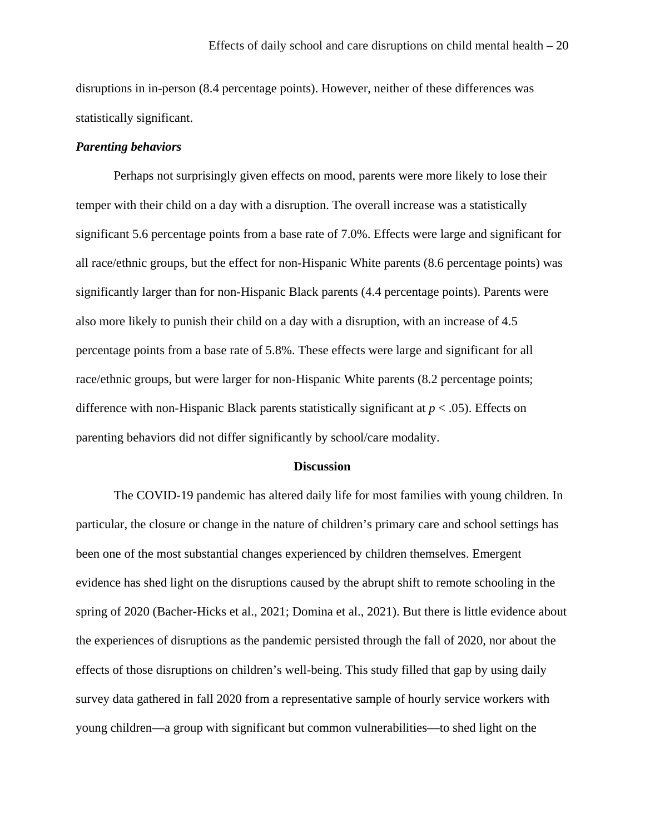disruptions in in-person (8.4 percentage points). However, neither of these differences was statistically significant.

### *Parenting behaviors*

Perhaps not surprisingly given effects on mood, parents were more likely to lose their temper with their child on a day with a disruption. The overall increase was a statistically significant 5.6 percentage points from a base rate of 7.0%. Effects were large and significant for all race/ethnic groups, but the effect for non-Hispanic White parents (8.6 percentage points) was significantly larger than for non-Hispanic Black parents (4.4 percentage points). Parents were also more likely to punish their child on a day with a disruption, with an increase of 4.5 percentage points from a base rate of 5.8%. These effects were large and significant for all race/ethnic groups, but were larger for non-Hispanic White parents (8.2 percentage points; difference with non-Hispanic Black parents statistically significant at  $p < .05$ ). Effects on parenting behaviors did not differ significantly by school/care modality.

#### **Discussion**

The COVID-19 pandemic has altered daily life for most families with young children. In particular, the closure or change in the nature of children's primary care and school settings has been one of the most substantial changes experienced by children themselves. Emergent evidence has shed light on the disruptions caused by the abrupt shift to remote schooling in the spring of 2020 (Bacher-Hicks et al., 2021; Domina et al., 2021). But there is little evidence about the experiences of disruptions as the pandemic persisted through the fall of 2020, nor about the effects of those disruptions on children's well-being. This study filled that gap by using daily survey data gathered in fall 2020 from a representative sample of hourly service workers with young children—a group with significant but common vulnerabilities—to shed light on the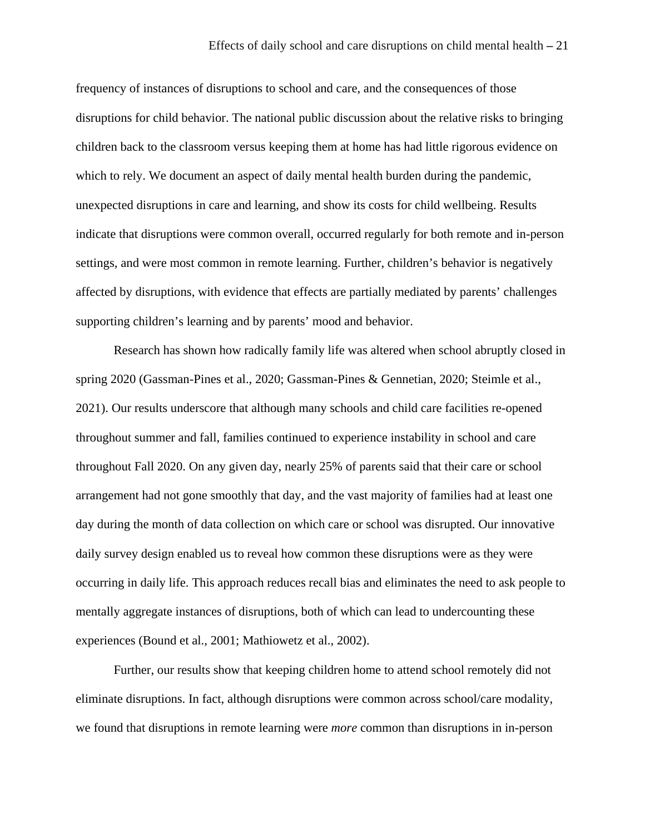frequency of instances of disruptions to school and care, and the consequences of those disruptions for child behavior. The national public discussion about the relative risks to bringing children back to the classroom versus keeping them at home has had little rigorous evidence on which to rely. We document an aspect of daily mental health burden during the pandemic, unexpected disruptions in care and learning, and show its costs for child wellbeing. Results indicate that disruptions were common overall, occurred regularly for both remote and in-person settings, and were most common in remote learning. Further, children's behavior is negatively affected by disruptions, with evidence that effects are partially mediated by parents' challenges supporting children's learning and by parents' mood and behavior.

Research has shown how radically family life was altered when school abruptly closed in spring 2020 (Gassman-Pines et al., 2020; Gassman-Pines & Gennetian, 2020; Steimle et al., 2021). Our results underscore that although many schools and child care facilities re-opened throughout summer and fall, families continued to experience instability in school and care throughout Fall 2020. On any given day, nearly 25% of parents said that their care or school arrangement had not gone smoothly that day, and the vast majority of families had at least one day during the month of data collection on which care or school was disrupted. Our innovative daily survey design enabled us to reveal how common these disruptions were as they were occurring in daily life. This approach reduces recall bias and eliminates the need to ask people to mentally aggregate instances of disruptions, both of which can lead to undercounting these experiences (Bound et al., 2001; Mathiowetz et al., 2002).

Further, our results show that keeping children home to attend school remotely did not eliminate disruptions. In fact, although disruptions were common across school/care modality, we found that disruptions in remote learning were *more* common than disruptions in in-person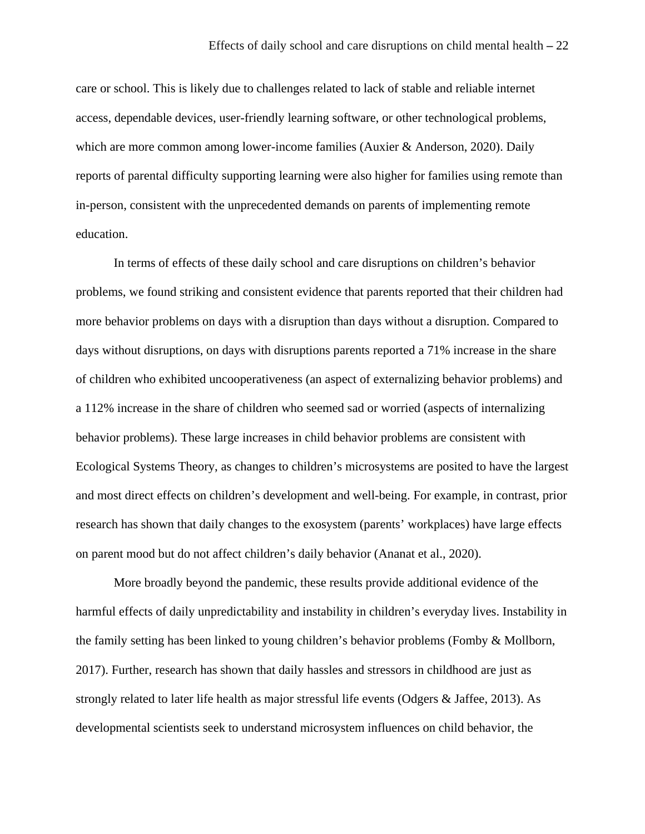care or school. This is likely due to challenges related to lack of stable and reliable internet access, dependable devices, user-friendly learning software, or other technological problems, which are more common among lower-income families (Auxier & Anderson, 2020). Daily reports of parental difficulty supporting learning were also higher for families using remote than in-person, consistent with the unprecedented demands on parents of implementing remote education.

In terms of effects of these daily school and care disruptions on children's behavior problems, we found striking and consistent evidence that parents reported that their children had more behavior problems on days with a disruption than days without a disruption. Compared to days without disruptions, on days with disruptions parents reported a 71% increase in the share of children who exhibited uncooperativeness (an aspect of externalizing behavior problems) and a 112% increase in the share of children who seemed sad or worried (aspects of internalizing behavior problems). These large increases in child behavior problems are consistent with Ecological Systems Theory, as changes to children's microsystems are posited to have the largest and most direct effects on children's development and well-being. For example, in contrast, prior research has shown that daily changes to the exosystem (parents' workplaces) have large effects on parent mood but do not affect children's daily behavior (Ananat et al., 2020).

More broadly beyond the pandemic, these results provide additional evidence of the harmful effects of daily unpredictability and instability in children's everyday lives. Instability in the family setting has been linked to young children's behavior problems (Fomby & Mollborn, 2017). Further, research has shown that daily hassles and stressors in childhood are just as strongly related to later life health as major stressful life events (Odgers & Jaffee, 2013). As developmental scientists seek to understand microsystem influences on child behavior, the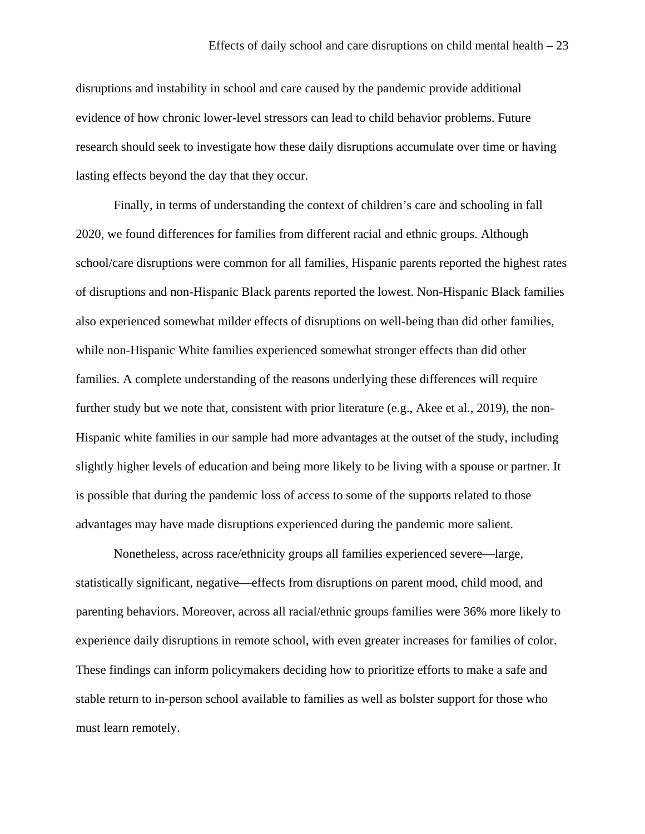disruptions and instability in school and care caused by the pandemic provide additional evidence of how chronic lower-level stressors can lead to child behavior problems. Future research should seek to investigate how these daily disruptions accumulate over time or having lasting effects beyond the day that they occur.

Finally, in terms of understanding the context of children's care and schooling in fall 2020, we found differences for families from different racial and ethnic groups. Although school/care disruptions were common for all families, Hispanic parents reported the highest rates of disruptions and non-Hispanic Black parents reported the lowest. Non-Hispanic Black families also experienced somewhat milder effects of disruptions on well-being than did other families, while non-Hispanic White families experienced somewhat stronger effects than did other families. A complete understanding of the reasons underlying these differences will require further study but we note that, consistent with prior literature (e.g., Akee et al., 2019), the non-Hispanic white families in our sample had more advantages at the outset of the study, including slightly higher levels of education and being more likely to be living with a spouse or partner. It is possible that during the pandemic loss of access to some of the supports related to those advantages may have made disruptions experienced during the pandemic more salient.

Nonetheless, across race/ethnicity groups all families experienced severe—large, statistically significant, negative—effects from disruptions on parent mood, child mood, and parenting behaviors. Moreover, across all racial/ethnic groups families were 36% more likely to experience daily disruptions in remote school, with even greater increases for families of color. These findings can inform policymakers deciding how to prioritize efforts to make a safe and stable return to in-person school available to families as well as bolster support for those who must learn remotely.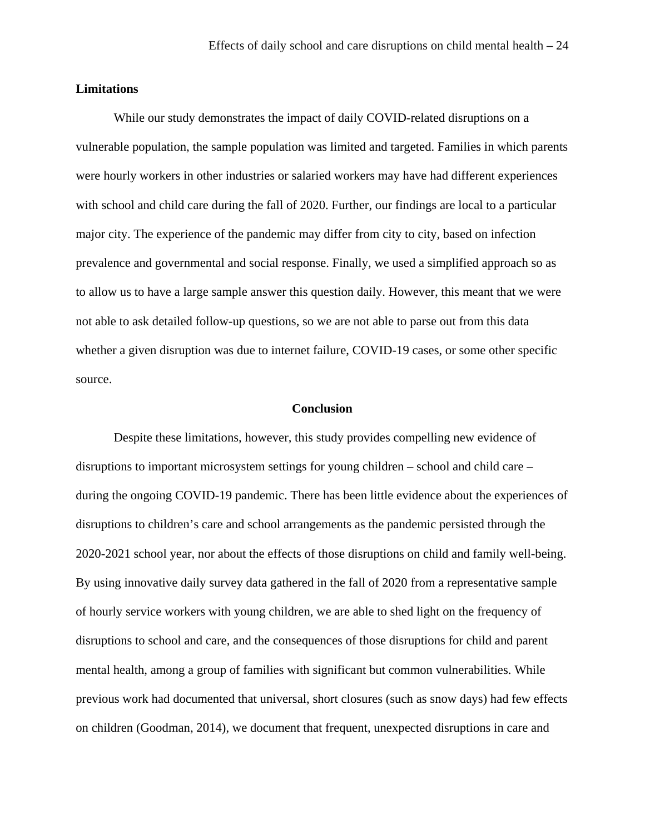# **Limitations**

 While our study demonstrates the impact of daily COVID-related disruptions on a vulnerable population, the sample population was limited and targeted. Families in which parents were hourly workers in other industries or salaried workers may have had different experiences with school and child care during the fall of 2020. Further, our findings are local to a particular major city. The experience of the pandemic may differ from city to city, based on infection prevalence and governmental and social response. Finally, we used a simplified approach so as to allow us to have a large sample answer this question daily. However, this meant that we were not able to ask detailed follow-up questions, so we are not able to parse out from this data whether a given disruption was due to internet failure, COVID-19 cases, or some other specific source.

## **Conclusion**

Despite these limitations, however, this study provides compelling new evidence of disruptions to important microsystem settings for young children – school and child care – during the ongoing COVID-19 pandemic. There has been little evidence about the experiences of disruptions to children's care and school arrangements as the pandemic persisted through the 2020-2021 school year, nor about the effects of those disruptions on child and family well-being. By using innovative daily survey data gathered in the fall of 2020 from a representative sample of hourly service workers with young children, we are able to shed light on the frequency of disruptions to school and care, and the consequences of those disruptions for child and parent mental health, among a group of families with significant but common vulnerabilities. While previous work had documented that universal, short closures (such as snow days) had few effects on children (Goodman, 2014), we document that frequent, unexpected disruptions in care and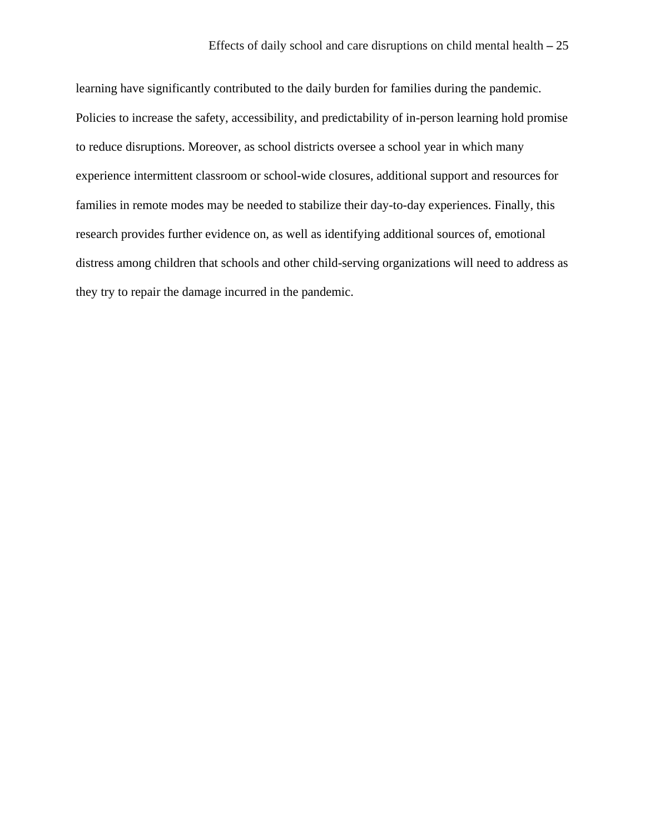learning have significantly contributed to the daily burden for families during the pandemic. Policies to increase the safety, accessibility, and predictability of in-person learning hold promise to reduce disruptions. Moreover, as school districts oversee a school year in which many experience intermittent classroom or school-wide closures, additional support and resources for families in remote modes may be needed to stabilize their day-to-day experiences. Finally, this research provides further evidence on, as well as identifying additional sources of, emotional distress among children that schools and other child-serving organizations will need to address as they try to repair the damage incurred in the pandemic.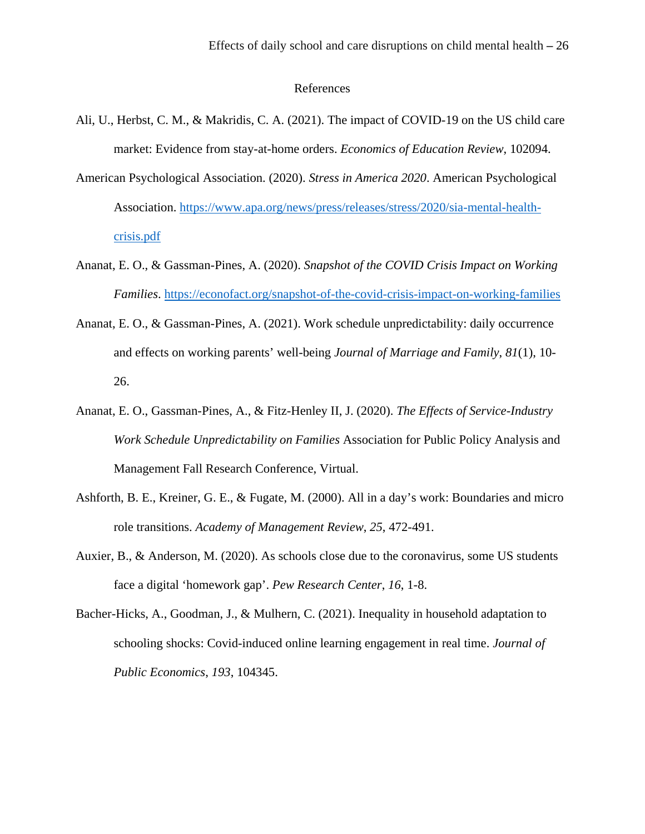# References

- Ali, U., Herbst, C. M., & Makridis, C. A. (2021). The impact of COVID-19 on the US child care market: Evidence from stay-at-home orders. *Economics of Education Review*, 102094.
- American Psychological Association. (2020). *Stress in America 2020*. American Psychological Association. [https://www.apa.org/news/press/releases/stress/2020/sia-mental-health](https://www.apa.org/news/press/releases/stress/2020/sia-mental-health-crisis.pdf)[crisis.pdf](https://www.apa.org/news/press/releases/stress/2020/sia-mental-health-crisis.pdf)
- Ananat, E. O., & Gassman-Pines, A. (2020). *Snapshot of the COVID Crisis Impact on Working Families*.<https://econofact.org/snapshot-of-the-covid-crisis-impact-on-working-families>
- Ananat, E. O., & Gassman-Pines, A. (2021). Work schedule unpredictability: daily occurrence and effects on working parents' well-being *Journal of Marriage and Family*, *81*(1), 10- 26.
- Ananat, E. O., Gassman-Pines, A., & Fitz-Henley II, J. (2020). *The Effects of Service-Industry Work Schedule Unpredictability on Families* Association for Public Policy Analysis and Management Fall Research Conference, Virtual.
- Ashforth, B. E., Kreiner, G. E., & Fugate, M. (2000). All in a day's work: Boundaries and micro role transitions. *Academy of Management Review*, *25*, 472-491.
- Auxier, B., & Anderson, M. (2020). As schools close due to the coronavirus, some US students face a digital 'homework gap'. *Pew Research Center*, *16*, 1-8.
- Bacher-Hicks, A., Goodman, J., & Mulhern, C. (2021). Inequality in household adaptation to schooling shocks: Covid-induced online learning engagement in real time. *Journal of Public Economics*, *193*, 104345.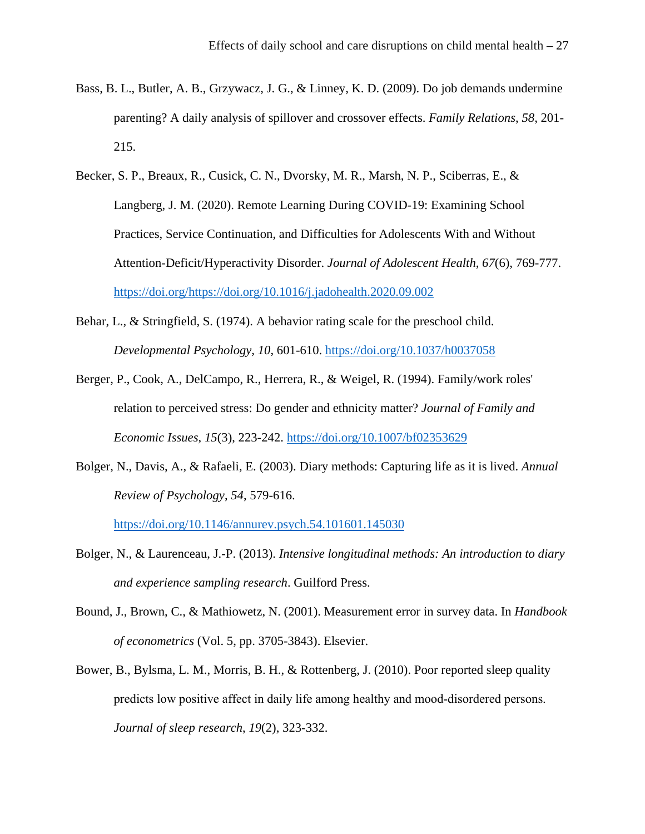- Bass, B. L., Butler, A. B., Grzywacz, J. G., & Linney, K. D. (2009). Do job demands undermine parenting? A daily analysis of spillover and crossover effects. *Family Relations*, *58*, 201- 215.
- Becker, S. P., Breaux, R., Cusick, C. N., Dvorsky, M. R., Marsh, N. P., Sciberras, E., & Langberg, J. M. (2020). Remote Learning During COVID-19: Examining School Practices, Service Continuation, and Difficulties for Adolescents With and Without Attention-Deficit/Hyperactivity Disorder. *Journal of Adolescent Health*, *67*(6), 769-777. [https://doi.org/https://doi.org/10.1016/j.jadohealth.2020.09.002](https://doi.org/https:/doi.org/10.1016/j.jadohealth.2020.09.002)
- Behar, L., & Stringfield, S. (1974). A behavior rating scale for the preschool child. *Developmental Psychology*, *10*, 601-610.<https://doi.org/10.1037/h0037058>
- Berger, P., Cook, A., DelCampo, R., Herrera, R., & Weigel, R. (1994). Family/work roles' relation to perceived stress: Do gender and ethnicity matter? *Journal of Family and Economic Issues*, *15*(3), 223-242.<https://doi.org/10.1007/bf02353629>
- Bolger, N., Davis, A., & Rafaeli, E. (2003). Diary methods: Capturing life as it is lived. *Annual Review of Psychology*, *54*, 579-616.

<https://doi.org/10.1146/annurev.psych.54.101601.145030>

- Bolger, N., & Laurenceau, J.-P. (2013). *Intensive longitudinal methods: An introduction to diary and experience sampling research*. Guilford Press.
- Bound, J., Brown, C., & Mathiowetz, N. (2001). Measurement error in survey data. In *Handbook of econometrics* (Vol. 5, pp. 3705-3843). Elsevier.
- Bower, B., Bylsma, L. M., Morris, B. H., & Rottenberg, J. (2010). Poor reported sleep quality predicts low positive affect in daily life among healthy and mood‐disordered persons. *Journal of sleep research*, *19*(2), 323-332.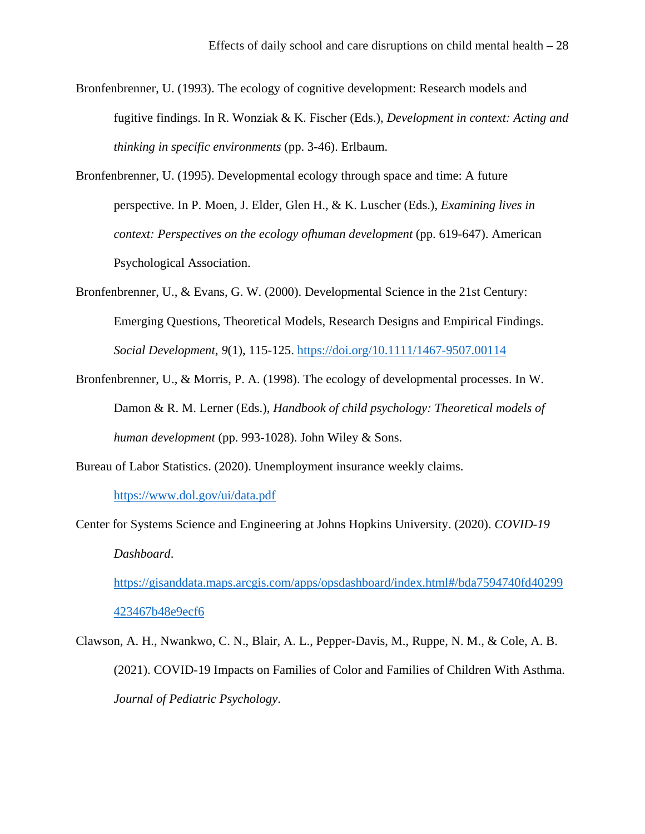- Bronfenbrenner, U. (1993). The ecology of cognitive development: Research models and fugitive findings. In R. Wonziak & K. Fischer (Eds.), *Development in context: Acting and thinking in specific environments* (pp. 3-46). Erlbaum.
- Bronfenbrenner, U. (1995). Developmental ecology through space and time: A future perspective. In P. Moen, J. Elder, Glen H., & K. Luscher (Eds.), *Examining lives in context: Perspectives on the ecology ofhuman development* (pp. 619-647). American Psychological Association.
- Bronfenbrenner, U., & Evans, G. W. (2000). Developmental Science in the 21st Century: Emerging Questions, Theoretical Models, Research Designs and Empirical Findings. *Social Development*, *9*(1), 115-125.<https://doi.org/10.1111/1467-9507.00114>
- Bronfenbrenner, U., & Morris, P. A. (1998). The ecology of developmental processes. In W. Damon & R. M. Lerner (Eds.), *Handbook of child psychology: Theoretical models of human development* (pp. 993-1028). John Wiley & Sons.

Bureau of Labor Statistics. (2020). Unemployment insurance weekly claims.

<https://www.dol.gov/ui/data.pdf>

Center for Systems Science and Engineering at Johns Hopkins University. (2020). *COVID-19 Dashboard*.

[https://gisanddata.maps.arcgis.com/apps/opsdashboard/index.html#/bda7594740fd40299](https://gisanddata.maps.arcgis.com/apps/opsdashboard/index.html#/bda7594740fd40299423467b48e9ecf6) [423467b48e9ecf6](https://gisanddata.maps.arcgis.com/apps/opsdashboard/index.html#/bda7594740fd40299423467b48e9ecf6)

Clawson, A. H., Nwankwo, C. N., Blair, A. L., Pepper-Davis, M., Ruppe, N. M., & Cole, A. B. (2021). COVID-19 Impacts on Families of Color and Families of Children With Asthma. *Journal of Pediatric Psychology*.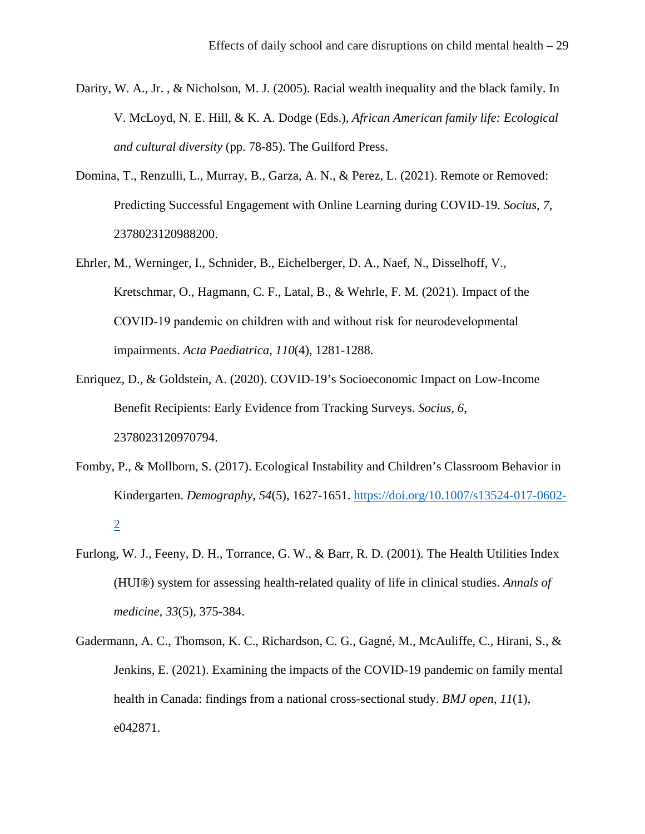- Darity, W. A., Jr. , & Nicholson, M. J. (2005). Racial wealth inequality and the black family. In V. McLoyd, N. E. Hill, & K. A. Dodge (Eds.), *African American family life: Ecological and cultural diversity* (pp. 78-85). The Guilford Press.
- Domina, T., Renzulli, L., Murray, B., Garza, A. N., & Perez, L. (2021). Remote or Removed: Predicting Successful Engagement with Online Learning during COVID-19. *Socius*, *7*, 2378023120988200.
- Ehrler, M., Werninger, I., Schnider, B., Eichelberger, D. A., Naef, N., Disselhoff, V., Kretschmar, O., Hagmann, C. F., Latal, B., & Wehrle, F. M. (2021). Impact of the COVID‐19 pandemic on children with and without risk for neurodevelopmental impairments. *Acta Paediatrica*, *110*(4), 1281-1288.
- Enriquez, D., & Goldstein, A. (2020). COVID-19's Socioeconomic Impact on Low-Income Benefit Recipients: Early Evidence from Tracking Surveys. *Socius*, *6*, 2378023120970794.
- Fomby, P., & Mollborn, S. (2017). Ecological Instability and Children's Classroom Behavior in Kindergarten. *Demography*, *54*(5), 1627-1651. [https://doi.org/10.1007/s13524-017-0602-](https://doi.org/10.1007/s13524-017-0602-2) [2](https://doi.org/10.1007/s13524-017-0602-2)
- Furlong, W. J., Feeny, D. H., Torrance, G. W., & Barr, R. D. (2001). The Health Utilities Index (HUI®) system for assessing health-related quality of life in clinical studies. *Annals of medicine*, *33*(5), 375-384.
- Gadermann, A. C., Thomson, K. C., Richardson, C. G., Gagné, M., McAuliffe, C., Hirani, S., & Jenkins, E. (2021). Examining the impacts of the COVID-19 pandemic on family mental health in Canada: findings from a national cross-sectional study. *BMJ open*, *11*(1), e042871.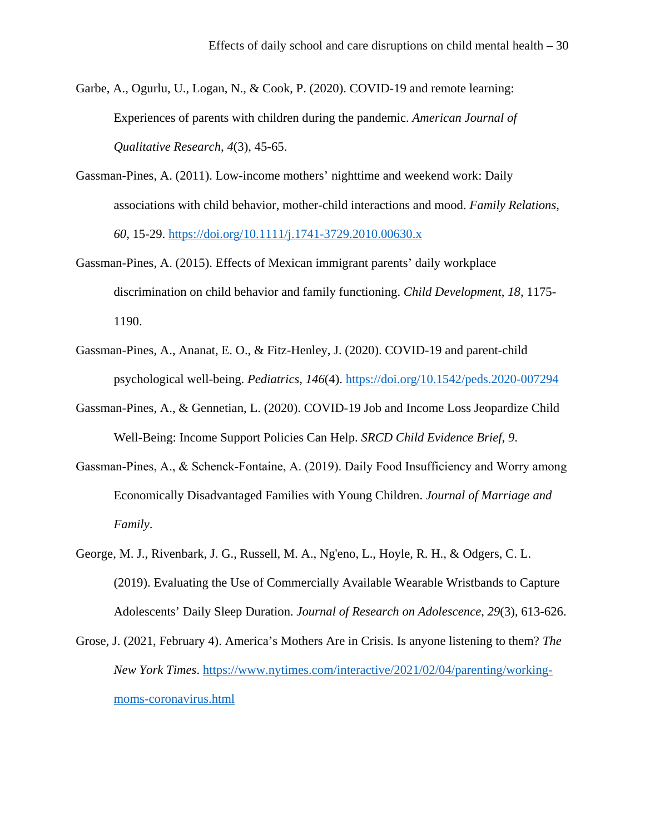Garbe, A., Ogurlu, U., Logan, N., & Cook, P. (2020). COVID-19 and remote learning: Experiences of parents with children during the pandemic. *American Journal of Qualitative Research*, *4*(3), 45-65.

- Gassman-Pines, A. (2011). Low-income mothers' nighttime and weekend work: Daily associations with child behavior, mother-child interactions and mood. *Family Relations*, *60*, 15-29.<https://doi.org/10.1111/j.1741-3729.2010.00630.x>
- Gassman-Pines, A. (2015). Effects of Mexican immigrant parents' daily workplace discrimination on child behavior and family functioning. *Child Development*, *18*, 1175- 1190.
- Gassman-Pines, A., Ananat, E. O., & Fitz-Henley, J. (2020). COVID-19 and parent-child psychological well-being. *Pediatrics*, *146*(4).<https://doi.org/10.1542/peds.2020-007294>
- Gassman-Pines, A., & Gennetian, L. (2020). COVID-19 Job and Income Loss Jeopardize Child Well-Being: Income Support Policies Can Help. *SRCD Child Evidence Brief*, *9*.
- Gassman‐Pines, A., & Schenck‐Fontaine, A. (2019). Daily Food Insufficiency and Worry among Economically Disadvantaged Families with Young Children. *Journal of Marriage and Family*.
- George, M. J., Rivenbark, J. G., Russell, M. A., Ng'eno, L., Hoyle, R. H., & Odgers, C. L. (2019). Evaluating the Use of Commercially Available Wearable Wristbands to Capture Adolescents' Daily Sleep Duration. *Journal of Research on Adolescence*, *29*(3), 613-626.
- Grose, J. (2021, February 4). America's Mothers Are in Crisis. Is anyone listening to them? *The New York Times*. [https://www.nytimes.com/interactive/2021/02/04/parenting/working](https://www.nytimes.com/interactive/2021/02/04/parenting/working-moms-coronavirus.html)[moms-coronavirus.html](https://www.nytimes.com/interactive/2021/02/04/parenting/working-moms-coronavirus.html)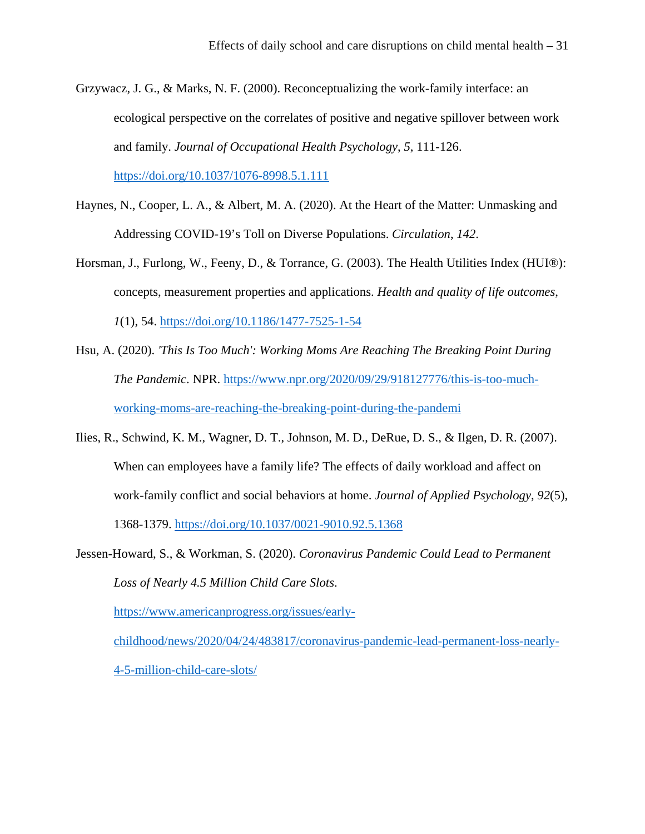- Grzywacz, J. G., & Marks, N. F. (2000). Reconceptualizing the work-family interface: an ecological perspective on the correlates of positive and negative spillover between work and family. *Journal of Occupational Health Psychology*, *5*, 111-126. <https://doi.org/10.1037/1076-8998.5.1.111>
- Haynes, N., Cooper, L. A., & Albert, M. A. (2020). At the Heart of the Matter: Unmasking and Addressing COVID-19's Toll on Diverse Populations. *Circulation*, *142*.
- Horsman, J., Furlong, W., Feeny, D., & Torrance, G. (2003). The Health Utilities Index (HUI®): concepts, measurement properties and applications. *Health and quality of life outcomes*, *1*(1), 54.<https://doi.org/10.1186/1477-7525-1-54>
- Hsu, A. (2020). *'This Is Too Much': Working Moms Are Reaching The Breaking Point During The Pandemic*. NPR. [https://www.npr.org/2020/09/29/918127776/this-is-too-much](https://www.npr.org/2020/09/29/918127776/this-is-too-much-working-moms-are-reaching-the-breaking-point-during-the-pandemi)[working-moms-are-reaching-the-breaking-point-during-the-pandemi](https://www.npr.org/2020/09/29/918127776/this-is-too-much-working-moms-are-reaching-the-breaking-point-during-the-pandemi)
- Ilies, R., Schwind, K. M., Wagner, D. T., Johnson, M. D., DeRue, D. S., & Ilgen, D. R. (2007). When can employees have a family life? The effects of daily workload and affect on work-family conflict and social behaviors at home. *Journal of Applied Psychology*, *92*(5), 1368-1379.<https://doi.org/10.1037/0021-9010.92.5.1368>

Jessen-Howard, S., & Workman, S. (2020). *Coronavirus Pandemic Could Lead to Permanent Loss of Nearly 4.5 Million Child Care Slots*.

[https://www.americanprogress.org/issues/early-](https://www.americanprogress.org/issues/early-childhood/news/2020/04/24/483817/coronavirus-pandemic-lead-permanent-loss-nearly-4-5-million-child-care-slots/)

[childhood/news/2020/04/24/483817/coronavirus-pandemic-lead-permanent-loss-nearly-](https://www.americanprogress.org/issues/early-childhood/news/2020/04/24/483817/coronavirus-pandemic-lead-permanent-loss-nearly-4-5-million-child-care-slots/)[4-5-million-child-care-slots/](https://www.americanprogress.org/issues/early-childhood/news/2020/04/24/483817/coronavirus-pandemic-lead-permanent-loss-nearly-4-5-million-child-care-slots/)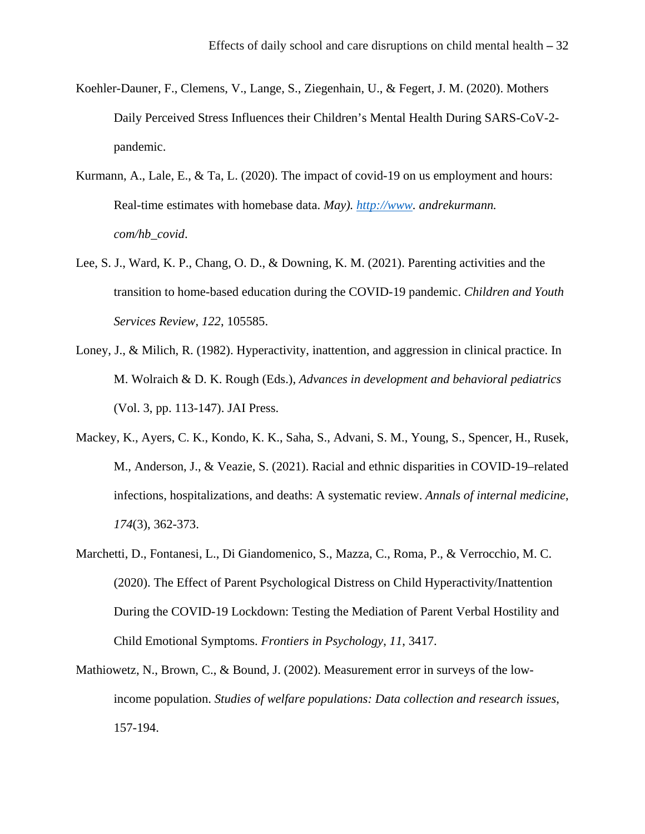- Koehler-Dauner, F., Clemens, V., Lange, S., Ziegenhain, U., & Fegert, J. M. (2020). Mothers Daily Perceived Stress Influences their Children's Mental Health During SARS-CoV-2 pandemic.
- Kurmann, A., Lale, E., & Ta, L. (2020). The impact of covid-19 on us employment and hours: Real-time estimates with homebase data. *May). [http://www.](http://www/) andrekurmann. com/hb\_covid*.
- Lee, S. J., Ward, K. P., Chang, O. D., & Downing, K. M. (2021). Parenting activities and the transition to home-based education during the COVID-19 pandemic. *Children and Youth Services Review*, *122*, 105585.
- Loney, J., & Milich, R. (1982). Hyperactivity, inattention, and aggression in clinical practice. In M. Wolraich & D. K. Rough (Eds.), *Advances in development and behavioral pediatrics* (Vol. 3, pp. 113-147). JAI Press.
- Mackey, K., Ayers, C. K., Kondo, K. K., Saha, S., Advani, S. M., Young, S., Spencer, H., Rusek, M., Anderson, J., & Veazie, S. (2021). Racial and ethnic disparities in COVID-19–related infections, hospitalizations, and deaths: A systematic review. *Annals of internal medicine*, *174*(3), 362-373.
- Marchetti, D., Fontanesi, L., Di Giandomenico, S., Mazza, C., Roma, P., & Verrocchio, M. C. (2020). The Effect of Parent Psychological Distress on Child Hyperactivity/Inattention During the COVID-19 Lockdown: Testing the Mediation of Parent Verbal Hostility and Child Emotional Symptoms. *Frontiers in Psychology*, *11*, 3417.
- Mathiowetz, N., Brown, C., & Bound, J. (2002). Measurement error in surveys of the lowincome population. *Studies of welfare populations: Data collection and research issues*, 157-194.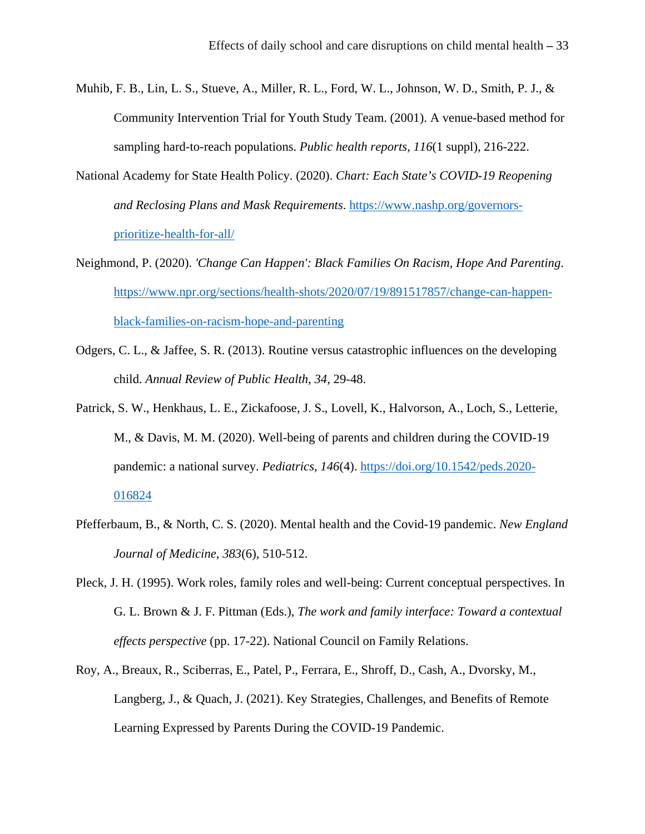- Muhib, F. B., Lin, L. S., Stueve, A., Miller, R. L., Ford, W. L., Johnson, W. D., Smith, P. J., & Community Intervention Trial for Youth Study Team. (2001). A venue-based method for sampling hard-to-reach populations. *Public health reports*, *116*(1 suppl), 216-222.
- National Academy for State Health Policy. (2020). *Chart: Each State's COVID-19 Reopening and Reclosing Plans and Mask Requirements*. [https://www.nashp.org/governors](https://www.nashp.org/governors-prioritize-health-for-all/)[prioritize-health-for-all/](https://www.nashp.org/governors-prioritize-health-for-all/)
- Neighmond, P. (2020). *'Change Can Happen': Black Families On Racism, Hope And Parenting*. [https://www.npr.org/sections/health-shots/2020/07/19/891517857/change-can-happen](https://www.npr.org/sections/health-shots/2020/07/19/891517857/change-can-happen-black-families-on-racism-hope-and-parenting)[black-families-on-racism-hope-and-parenting](https://www.npr.org/sections/health-shots/2020/07/19/891517857/change-can-happen-black-families-on-racism-hope-and-parenting)
- Odgers, C. L., & Jaffee, S. R. (2013). Routine versus catastrophic influences on the developing child. *Annual Review of Public Health*, *34*, 29-48.
- Patrick, S. W., Henkhaus, L. E., Zickafoose, J. S., Lovell, K., Halvorson, A., Loch, S., Letterie, M., & Davis, M. M. (2020). Well-being of parents and children during the COVID-19 pandemic: a national survey. *Pediatrics*, *146*(4). [https://doi.org/10.1542/peds.2020-](https://doi.org/10.1542/peds.2020-016824) [016824](https://doi.org/10.1542/peds.2020-016824)
- Pfefferbaum, B., & North, C. S. (2020). Mental health and the Covid-19 pandemic. *New England Journal of Medicine*, *383*(6), 510-512.
- Pleck, J. H. (1995). Work roles, family roles and well-being: Current conceptual perspectives. In G. L. Brown & J. F. Pittman (Eds.), *The work and family interface: Toward a contextual effects perspective* (pp. 17-22). National Council on Family Relations.
- Roy, A., Breaux, R., Sciberras, E., Patel, P., Ferrara, E., Shroff, D., Cash, A., Dvorsky, M., Langberg, J., & Quach, J. (2021). Key Strategies, Challenges, and Benefits of Remote Learning Expressed by Parents During the COVID-19 Pandemic.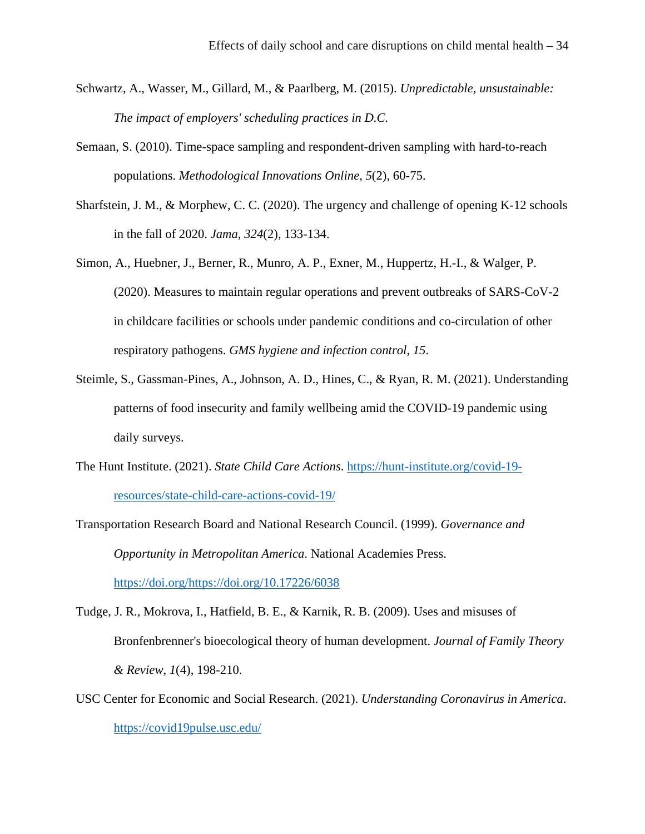- Schwartz, A., Wasser, M., Gillard, M., & Paarlberg, M. (2015). *Unpredictable, unsustainable: The impact of employers' scheduling practices in D.C.*
- Semaan, S. (2010). Time-space sampling and respondent-driven sampling with hard-to-reach populations. *Methodological Innovations Online*, *5*(2), 60-75.
- Sharfstein, J. M., & Morphew, C. C. (2020). The urgency and challenge of opening K-12 schools in the fall of 2020. *Jama*, *324*(2), 133-134.
- Simon, A., Huebner, J., Berner, R., Munro, A. P., Exner, M., Huppertz, H.-I., & Walger, P. (2020). Measures to maintain regular operations and prevent outbreaks of SARS-CoV-2 in childcare facilities or schools under pandemic conditions and co-circulation of other respiratory pathogens. *GMS hygiene and infection control*, *15*.
- Steimle, S., Gassman-Pines, A., Johnson, A. D., Hines, C., & Ryan, R. M. (2021). Understanding patterns of food insecurity and family wellbeing amid the COVID-19 pandemic using daily surveys.
- The Hunt Institute. (2021). *State Child Care Actions*. [https://hunt-institute.org/covid-19](https://hunt-institute.org/covid-19-resources/state-child-care-actions-covid-19/) [resources/state-child-care-actions-covid-19/](https://hunt-institute.org/covid-19-resources/state-child-care-actions-covid-19/)
- Transportation Research Board and National Research Council. (1999). *Governance and Opportunity in Metropolitan America*. National Academies Press. [https://doi.org/https://doi.org/10.17226/6038](https://doi.org/https:/doi.org/10.17226/6038)
- Tudge, J. R., Mokrova, I., Hatfield, B. E., & Karnik, R. B. (2009). Uses and misuses of Bronfenbrenner's bioecological theory of human development. *Journal of Family Theory & Review*, *1*(4), 198-210.
- USC Center for Economic and Social Research. (2021). *Understanding Coronavirus in America*. <https://covid19pulse.usc.edu/>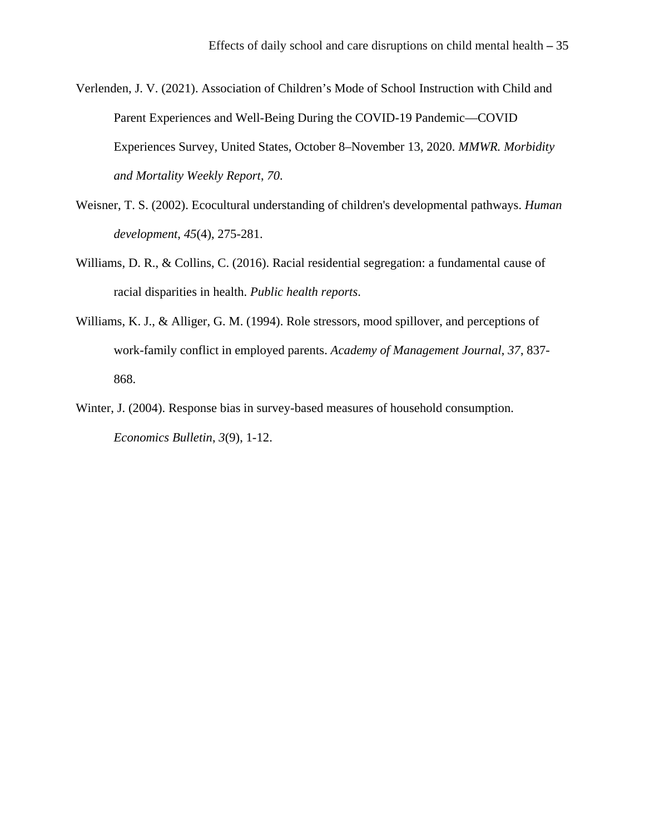Verlenden, J. V. (2021). Association of Children's Mode of School Instruction with Child and Parent Experiences and Well-Being During the COVID-19 Pandemic—COVID Experiences Survey, United States, October 8–November 13, 2020. *MMWR. Morbidity and Mortality Weekly Report*, *70*.

- Weisner, T. S. (2002). Ecocultural understanding of children's developmental pathways. *Human development*, *45*(4), 275-281.
- Williams, D. R., & Collins, C. (2016). Racial residential segregation: a fundamental cause of racial disparities in health. *Public health reports*.
- Williams, K. J., & Alliger, G. M. (1994). Role stressors, mood spillover, and perceptions of work-family conflict in employed parents. *Academy of Management Journal*, *37*, 837- 868.
- Winter, J. (2004). Response bias in survey-based measures of household consumption. *Economics Bulletin*, *3*(9), 1-12.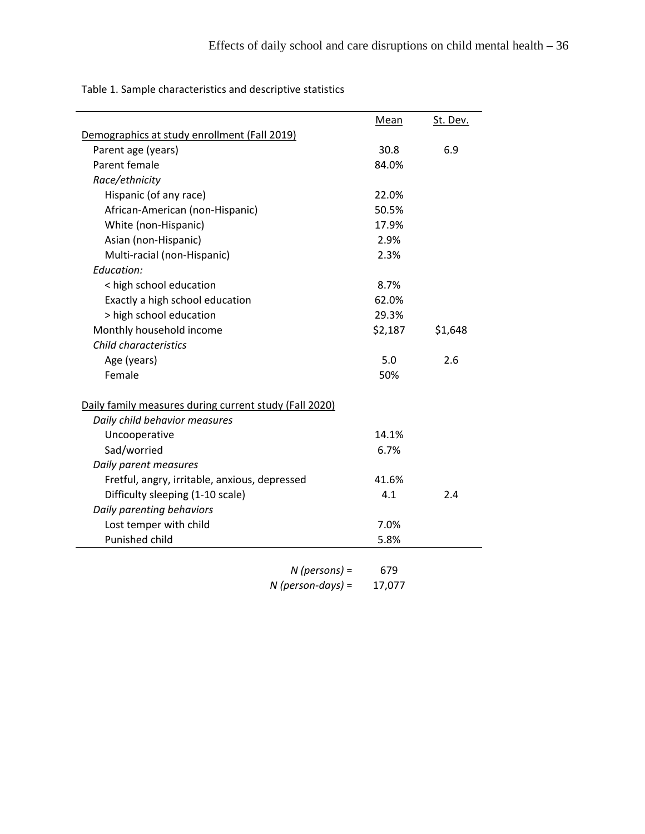Table 1. Sample characteristics and descriptive statistics

|                                                        | Mean    | St. Dev. |
|--------------------------------------------------------|---------|----------|
| Demographics at study enrollment (Fall 2019)           |         |          |
| Parent age (years)                                     | 30.8    | 6.9      |
| Parent female                                          | 84.0%   |          |
| Race/ethnicity                                         |         |          |
| Hispanic (of any race)                                 | 22.0%   |          |
| African-American (non-Hispanic)                        | 50.5%   |          |
| White (non-Hispanic)                                   | 17.9%   |          |
| Asian (non-Hispanic)                                   | 2.9%    |          |
| Multi-racial (non-Hispanic)                            | 2.3%    |          |
| Education:                                             |         |          |
| < high school education                                | 8.7%    |          |
| Exactly a high school education                        | 62.0%   |          |
| > high school education                                | 29.3%   |          |
| Monthly household income                               | \$2,187 | \$1,648  |
| Child characteristics                                  |         |          |
| Age (years)                                            | 5.0     | 2.6      |
| Female                                                 | 50%     |          |
| Daily family measures during current study (Fall 2020) |         |          |
| Daily child behavior measures                          |         |          |
| Uncooperative                                          | 14.1%   |          |
| Sad/worried                                            | 6.7%    |          |
| Daily parent measures                                  |         |          |
| Fretful, angry, irritable, anxious, depressed          | 41.6%   |          |
| Difficulty sleeping (1-10 scale)                       | 4.1     | 2.4      |
| Daily parenting behaviors                              |         |          |
| Lost temper with child                                 | 7.0%    |          |
| Punished child                                         | 5.8%    |          |

| $N$ (persons) =     | 679    |
|---------------------|--------|
| $N$ (person-days) = | 17,077 |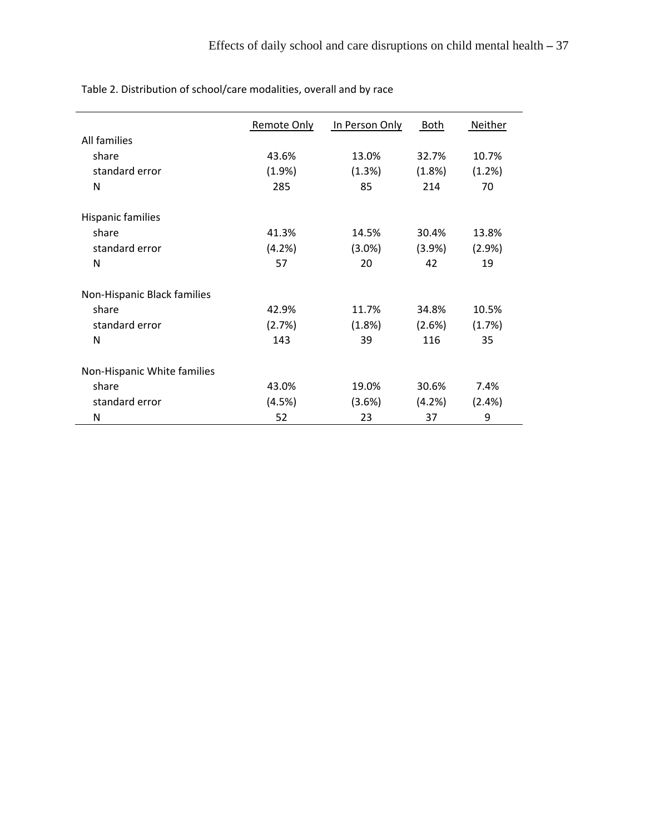|                             | Remote Only | In Person Only | <b>Both</b> | Neither |
|-----------------------------|-------------|----------------|-------------|---------|
| All families                |             |                |             |         |
| share                       | 43.6%       | 13.0%          | 32.7%       | 10.7%   |
| standard error              | (1.9%)      | (1.3%)         | (1.8%)      | (1.2%)  |
| N                           | 285         | 85             | 214         | 70      |
| <b>Hispanic families</b>    |             |                |             |         |
| share                       | 41.3%       | 14.5%          | 30.4%       | 13.8%   |
| standard error              | (4.2%)      | $(3.0\%)$      | (3.9%)      | (2.9%)  |
| N                           | 57          | 20             | 42          | 19      |
| Non-Hispanic Black families |             |                |             |         |
| share                       | 42.9%       | 11.7%          | 34.8%       | 10.5%   |
| standard error              | (2.7%)      | (1.8%)         | (2.6%)      | (1.7%)  |
| N                           | 143         | 39             | 116         | 35      |
| Non-Hispanic White families |             |                |             |         |
| share                       | 43.0%       | 19.0%          | 30.6%       | 7.4%    |
| standard error              | (4.5%)      | (3.6%)         | (4.2%)      | (2.4%)  |
| N                           | 52          | 23             | 37          | 9       |

Table 2. Distribution of school/care modalities, overall and by race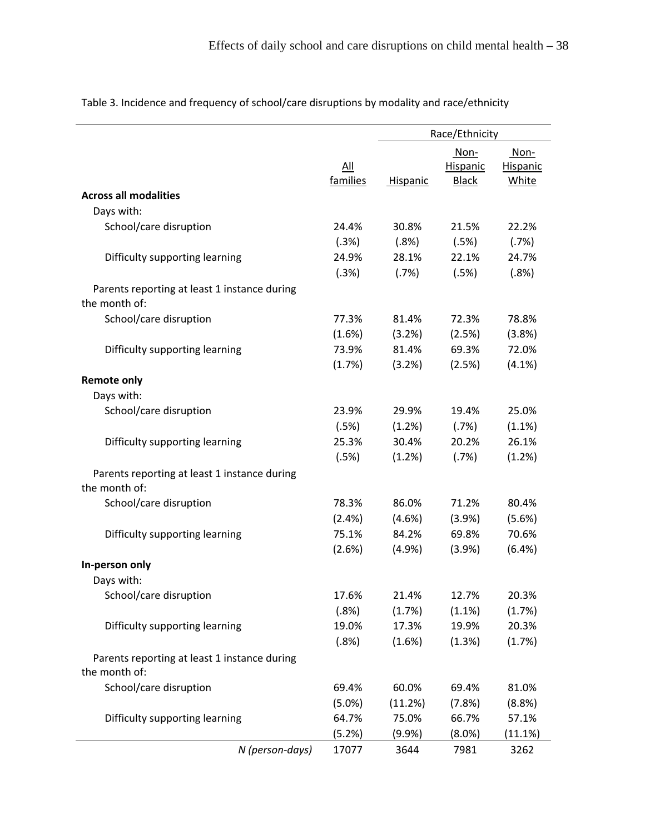|                                                               |           | Race/Ethnicity |                  |                         |
|---------------------------------------------------------------|-----------|----------------|------------------|-------------------------|
|                                                               | All       |                | Non-<br>Hispanic | Non-<br><b>Hispanic</b> |
|                                                               | families  | Hispanic       | <b>Black</b>     | White                   |
| <b>Across all modalities</b>                                  |           |                |                  |                         |
| Days with:                                                    |           |                |                  |                         |
| School/care disruption                                        | 24.4%     | 30.8%          | 21.5%            | 22.2%                   |
|                                                               | (.3%)     | (.8%)          | (.5%)            | (.7%)                   |
| Difficulty supporting learning                                | 24.9%     | 28.1%          | 22.1%            | 24.7%                   |
|                                                               | (.3%)     | (.7%)          | (.5%)            | (.8%)                   |
| Parents reporting at least 1 instance during<br>the month of: |           |                |                  |                         |
| School/care disruption                                        | 77.3%     | 81.4%          | 72.3%            | 78.8%                   |
|                                                               | (1.6%)    | (3.2%)         | (2.5%)           | (3.8%)                  |
| Difficulty supporting learning                                | 73.9%     | 81.4%          | 69.3%            | 72.0%                   |
|                                                               | (1.7%)    | (3.2%)         | (2.5%)           | $(4.1\%)$               |
| <b>Remote only</b>                                            |           |                |                  |                         |
| Days with:                                                    |           |                |                  |                         |
| School/care disruption                                        | 23.9%     | 29.9%          | 19.4%            | 25.0%                   |
|                                                               | (.5%)     | (1.2%)         | (.7%)            | (1.1%)                  |
| Difficulty supporting learning                                | 25.3%     | 30.4%          | 20.2%            | 26.1%                   |
|                                                               | (.5%)     | (1.2%)         | (.7%)            | (1.2%)                  |
| Parents reporting at least 1 instance during<br>the month of: |           |                |                  |                         |
| School/care disruption                                        | 78.3%     | 86.0%          | 71.2%            | 80.4%                   |
|                                                               | (2.4%)    | (4.6%)         | (3.9%)           | (5.6%)                  |
| Difficulty supporting learning                                | 75.1%     | 84.2%          | 69.8%            | 70.6%                   |
|                                                               | (2.6%)    | (4.9%)         | (3.9%)           | (6.4%)                  |
| In-person only                                                |           |                |                  |                         |
| Days with:                                                    |           |                |                  |                         |
| School/care disruption                                        | 17.6%     | 21.4%          | 12.7%            | 20.3%                   |
|                                                               | (.8%)     | (1.7%)         | (1.1%)           | (1.7%)                  |
| Difficulty supporting learning                                | 19.0%     | 17.3%          | 19.9%            | 20.3%                   |
|                                                               | (.8%)     | (1.6%)         | (1.3%)           | (1.7%)                  |
| Parents reporting at least 1 instance during<br>the month of: |           |                |                  |                         |
| School/care disruption                                        | 69.4%     | 60.0%          | 69.4%            | 81.0%                   |
|                                                               | $(5.0\%)$ | (11.2%)        | (7.8%)           | (8.8%)                  |
| Difficulty supporting learning                                | 64.7%     | 75.0%          | 66.7%            | 57.1%                   |
|                                                               | (5.2%)    | $(9.9\%)$      | (8.0%)           | (11.1%)                 |
| N (person-days)                                               | 17077     | 3644           | 7981             | 3262                    |

Table 3. Incidence and frequency of school/care disruptions by modality and race/ethnicity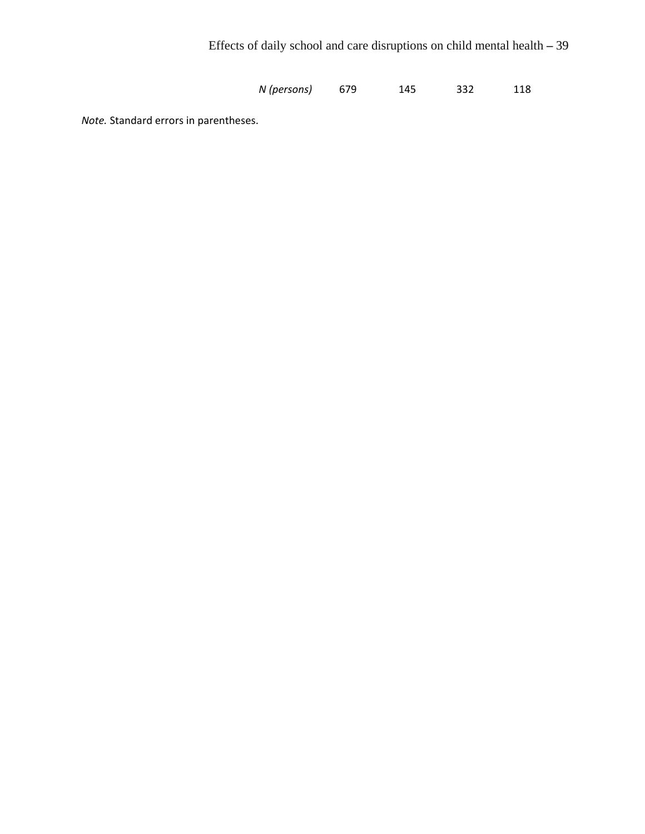*N (persons)* 679 145 332 118

*Note.* Standard errors in parentheses.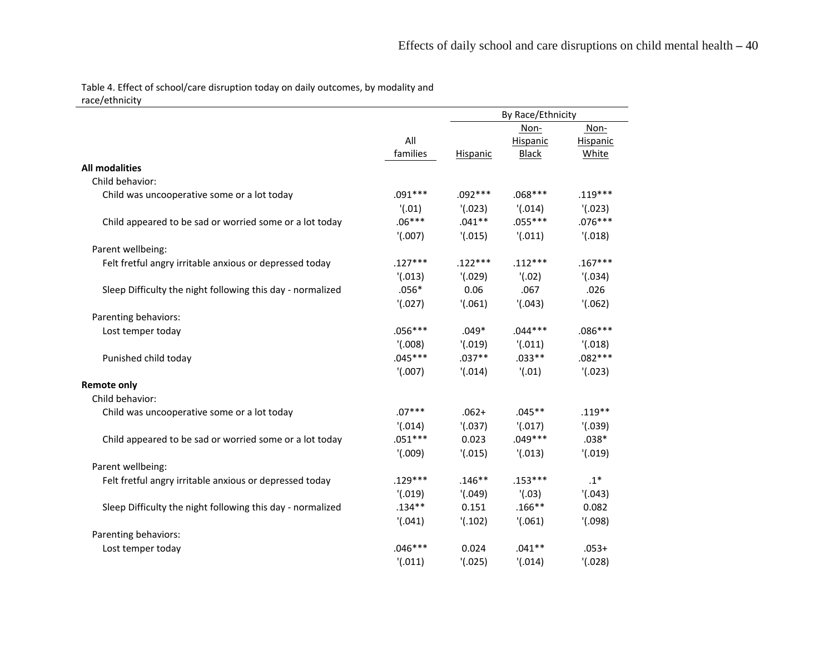Table 4. Effect of school/care disruption today on daily outcomes, by modality and race/ethnicity

| $1000/$ compose                                            |           |           | By Race/Ethnicity |           |  |
|------------------------------------------------------------|-----------|-----------|-------------------|-----------|--|
|                                                            |           |           | Non-              | Non-      |  |
|                                                            | All       |           | Hispanic          | Hispanic  |  |
|                                                            | families  | Hispanic  | <b>Black</b>      | White     |  |
| <b>All modalities</b>                                      |           |           |                   |           |  |
| Child behavior:                                            |           |           |                   |           |  |
| Child was uncooperative some or a lot today                | $.091***$ | $.092***$ | $.068***$         | $.119***$ |  |
|                                                            | '(0.01)   | '(0.023)  | '(0.014)          | '(0.023)  |  |
| Child appeared to be sad or worried some or a lot today    | $.06***$  | $.041**$  | $.055***$         | $.076***$ |  |
|                                                            | '(.007)   | '(0.015)  | '(0.011)          | '(0.018)  |  |
| Parent wellbeing:                                          |           |           |                   |           |  |
| Felt fretful angry irritable anxious or depressed today    | $.127***$ | $.122***$ | $.112***$         | $.167***$ |  |
|                                                            | '(0.013)  | '(0.029)  | '(.02)            | '(0.034)  |  |
| Sleep Difficulty the night following this day - normalized | $.056*$   | 0.06      | .067              | .026      |  |
|                                                            | '(0.027)  | '(0.061)  | '(0.043)          | '(.062)   |  |
| Parenting behaviors:                                       |           |           |                   |           |  |
| Lost temper today                                          | $.056***$ | $.049*$   | $.044***$         | $.086***$ |  |
|                                                            | '(0.008)  | '(0.19)   | '(0.011)          | '(0.018)  |  |
| Punished child today                                       | $.045***$ | $.037**$  | $.033**$          | $.082***$ |  |
|                                                            | '(.007)   | '(0.014)  | '(0.01)           | '(0.023)  |  |
| <b>Remote only</b>                                         |           |           |                   |           |  |
| Child behavior:                                            |           |           |                   |           |  |
| Child was uncooperative some or a lot today                | $.07***$  | $.062+$   | $.045**$          | $.119**$  |  |
|                                                            | '(0.014)  | '(0.037)  | '(0.017)          | '(0.039)  |  |
| Child appeared to be sad or worried some or a lot today    | $.051***$ | 0.023     | $.049***$         | $.038*$   |  |
|                                                            | '(009)    | '(0.015)  | '(0.013)          | '(0.19)   |  |
| Parent wellbeing:                                          |           |           |                   |           |  |
| Felt fretful angry irritable anxious or depressed today    | $.129***$ | $.146**$  | $.153***$         | $.1*$     |  |
|                                                            | '(0.19)   | '(0.049)  | '(0.03)           | '(0.043)  |  |
| Sleep Difficulty the night following this day - normalized | $.134**$  | 0.151     | $.166**$          | 0.082     |  |
|                                                            | '(0.041)  | '(.102)   | '(.061)           | '(0.098)  |  |
| Parenting behaviors:                                       |           |           |                   |           |  |
| Lost temper today                                          | $.046***$ | 0.024     | $.041**$          | $.053+$   |  |
|                                                            | '(0.011)  | '(0.025)  | '(0.014)          | '(0.028)  |  |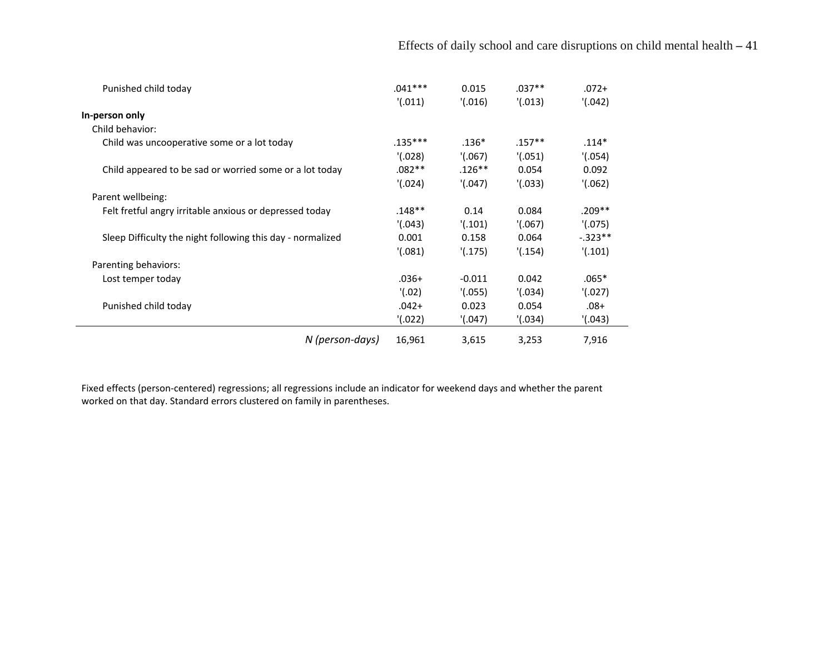| Punished child today                                       | $.041***$ | 0.015    | $.037**$  | $.072+$    |
|------------------------------------------------------------|-----------|----------|-----------|------------|
|                                                            | '(0.011)  | '(0.016) | '(0.013)  | '(0.042)   |
| In-person only                                             |           |          |           |            |
| Child behavior:                                            |           |          |           |            |
| Child was uncooperative some or a lot today                | $.135***$ | $.136*$  | $.157***$ | $.114*$    |
|                                                            | '(0.028)  | '(.067)  | '(.051)   | '(0.054)   |
| Child appeared to be sad or worried some or a lot today    | $.082**$  | $.126**$ | 0.054     | 0.092      |
|                                                            | '(0.024)  | '(0.047) | '(.033)   | '(.062)    |
| Parent wellbeing:                                          |           |          |           |            |
| Felt fretful angry irritable anxious or depressed today    | .148**    | 0.14     | 0.084     | $.209**$   |
|                                                            | '(0.043)  | '(0.101) | '(.067)   | '(.075)    |
| Sleep Difficulty the night following this day - normalized | 0.001     | 0.158    | 0.064     | $-0.323**$ |
|                                                            | '(.081)   | '(0.175) | '(0.154)  | '(0.101)   |
| Parenting behaviors:                                       |           |          |           |            |
| Lost temper today                                          | $.036+$   | $-0.011$ | 0.042     | $.065*$    |
|                                                            | '(.02)    | '(.055)  | '(0.034)  | '(0.027)   |
| Punished child today                                       | $.042+$   | 0.023    | 0.054     | $.08+$     |
|                                                            | '(.022)   | '(0.047) | '(.034)   | '(.043)    |
| N (person-days)                                            | 16,961    | 3,615    | 3,253     | 7,916      |

Fixed effects (person-centered) regressions; all regressions include an indicator for weekend days and whether the parent worked on that day. Standard errors clustered on family in parentheses.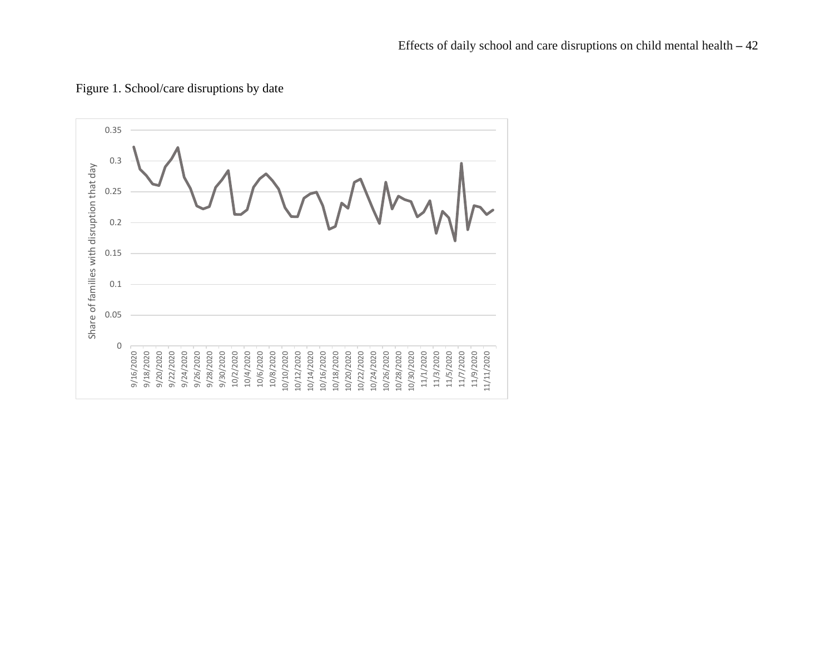

Figure 1. School/care disruptions by date